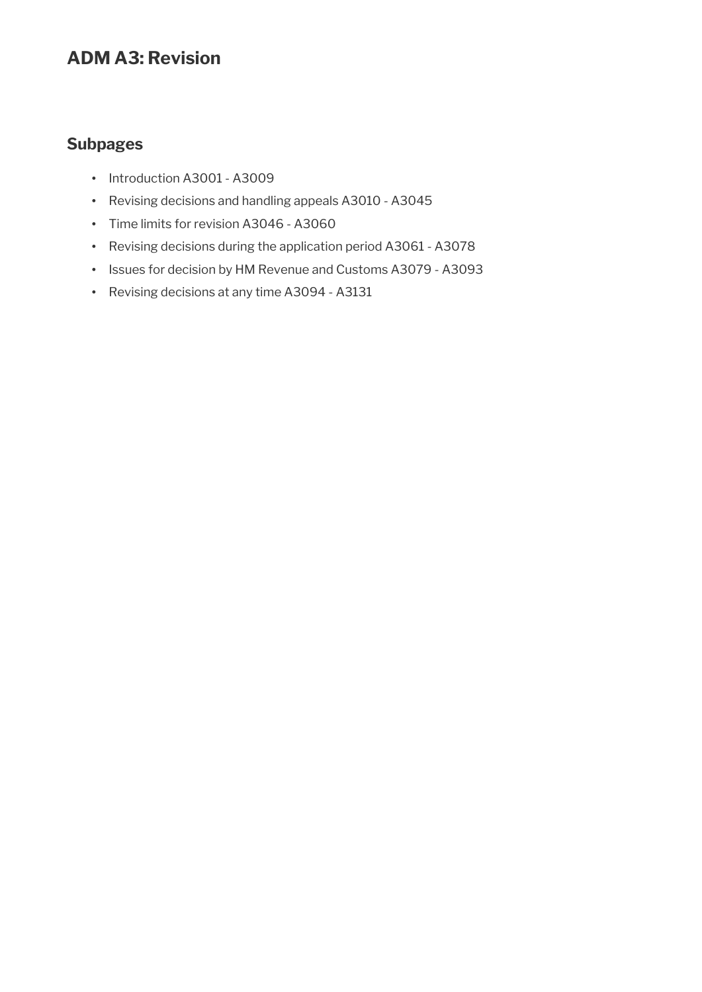# **ADM A3: Revision**

# **Subpages**

- Introduction A3001 A3009
- Revising decisions and handling appeals A3010 A3045
- Time limits for revision A3046 A3060
- Revising decisions during the application period A3061 A3078
- Issues for decision by HM Revenue and Customs A3079 A3093
- Revising decisions at any time A3094 A3131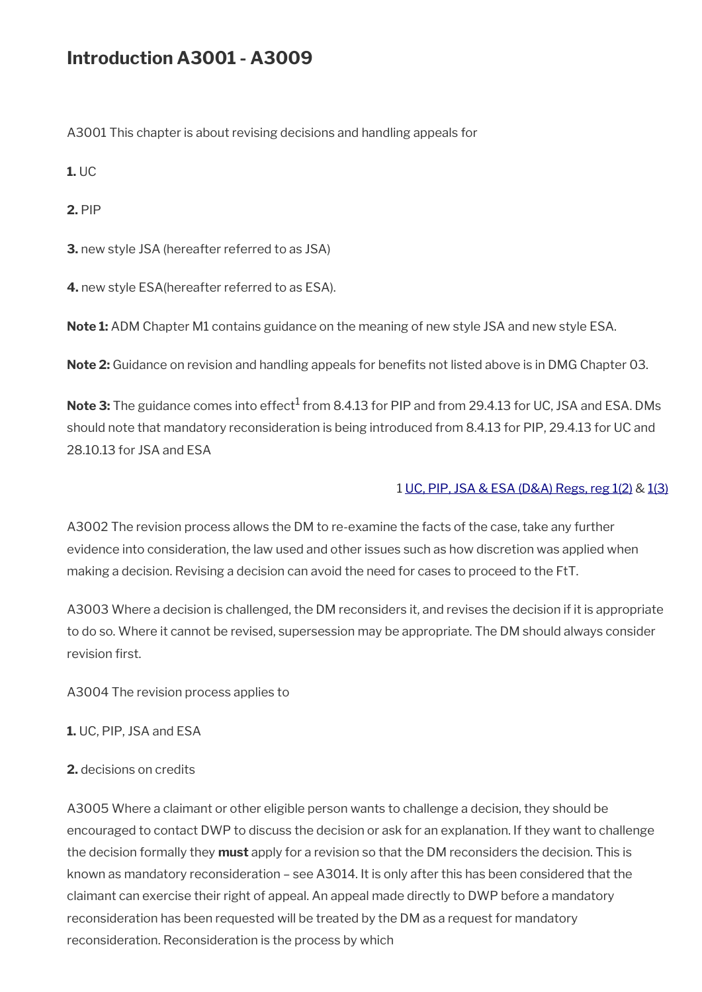# **Introduction A3001 - A3009**

A3001 This chapter is about revising decisions and handling appeals for

**1.** UC

**2.** PIP

**3.** new style JSA (hereafter referred to as JSA)

**4.** new style ESA(hereafter referred to as ESA).

**Note 1:** ADM Chapter M1 contains guidance on the meaning of new style JSA and new style ESA.

**Note 2:** Guidance on revision and handling appeals for benefits not listed above is in DMG Chapter 03.

**Note 3:** The guidance comes into effect<sup>1</sup> from 8.4.13 for PIP and from 29.4.13 for UC, JSA and ESA. DMs should note that mandatory reconsideration is being introduced from 8.4.13 for PIP, 29.4.13 for UC and 28.10.13 for JSA and ESA

### 1 [UC, PIP, JSA & ESA \(D&A\) Regs, reg 1\(2\)](http://www.legislation.gov.uk/uksi/2013/381/regulation/1) & [1\(3\)](http://www.legislation.gov.uk/uksi/2013/381/regulation/1)

A3002 The revision process allows the DM to re-examine the facts of the case, take any further evidence into consideration, the law used and other issues such as how discretion was applied when making a decision. Revising a decision can avoid the need for cases to proceed to the FtT.

A3003 Where a decision is challenged, the DM reconsiders it, and revises the decision if it is appropriate to do so. Where it cannot be revised, supersession may be appropriate. The DM should always consider revision first.

A3004 The revision process applies to

**1.** UC, PIP, JSA and ESA

**2.** decisions on credits

A3005 Where a claimant or other eligible person wants to challenge a decision, they should be encouraged to contact DWP to discuss the decision or ask for an explanation. If they want to challenge the decision formally they **must** apply for a revision so that the DM reconsiders the decision. This is known as mandatory reconsideration – see A3014. It is only after this has been considered that the claimant can exercise their right of appeal. An appeal made directly to DWP before a mandatory reconsideration has been requested will be treated by the DM as a request for mandatory reconsideration. Reconsideration is the process by which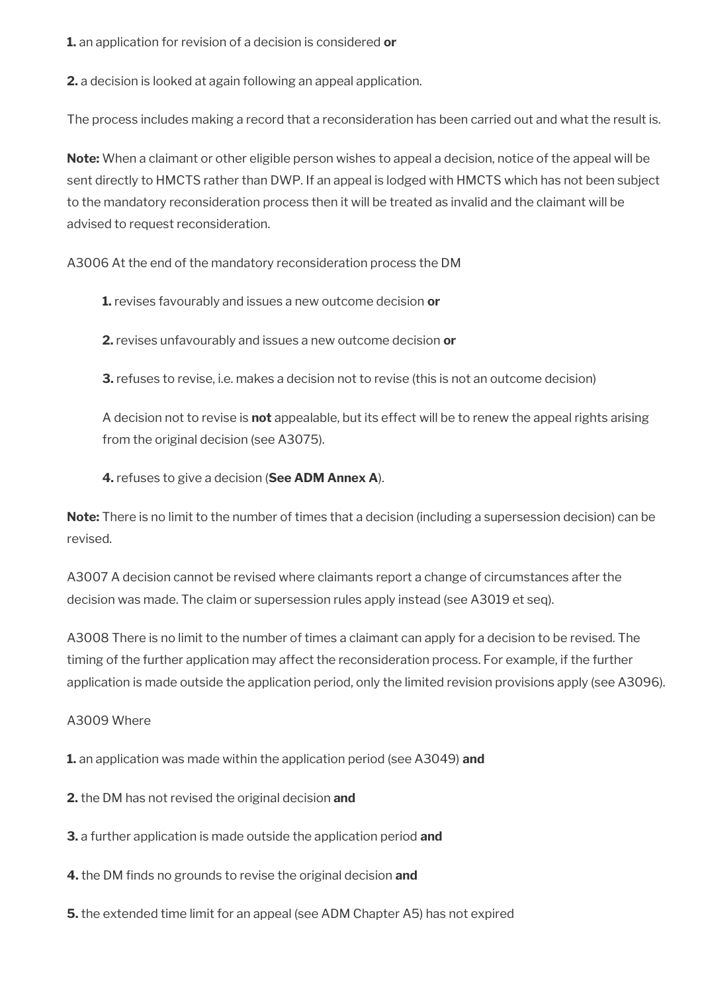**1.** an application for revision of a decision is considered **or**

**2.** a decision is looked at again following an appeal application.

The process includes making a record that a reconsideration has been carried out and what the result is.

**Note:** When a claimant or other eligible person wishes to appeal a decision, notice of the appeal will be sent directly to HMCTS rather than DWP. If an appeal is lodged with HMCTS which has not been subject to the mandatory reconsideration process then it will be treated as invalid and the claimant will be advised to request reconsideration.

A3006 At the end of the mandatory reconsideration process the DM

**1.** revises favourably and issues a new outcome decision **or**

**2.** revises unfavourably and issues a new outcome decision **or**

**3.** refuses to revise, i.e. makes a decision not to revise (this is not an outcome decision)

A decision not to revise is **not** appealable, but its effect will be to renew the appeal rights arising from the original decision (see A3075).

**4.** refuses to give a decision (**See ADM Annex A**).

**Note:** There is no limit to the number of times that a decision (including a supersession decision) can be revised.

A3007 A decision cannot be revised where claimants report a change of circumstances after the decision was made. The claim or supersession rules apply instead (see A3019 et seq).

A3008 There is no limit to the number of times a claimant can apply for a decision to be revised. The timing of the further application may affect the reconsideration process. For example, if the further application is made outside the application period, only the limited revision provisions apply (see A3096).

### A3009 Where

**1.** an application was made within the application period (see A3049) **and**

**2.** the DM has not revised the original decision **and**

**3.** a further application is made outside the application period **and**

**4.** the DM finds no grounds to revise the original decision and

**5.** the extended time limit for an appeal (see ADM Chapter A5) has not expired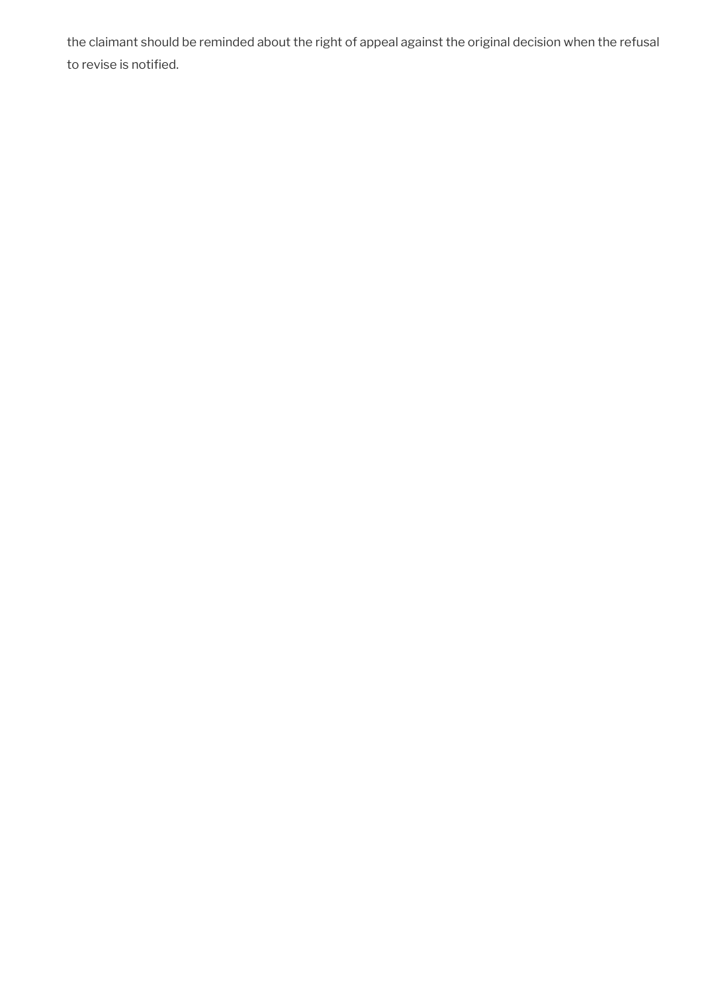the claimant should be reminded about the right of appeal against the original decision when the refusal to revise is notified.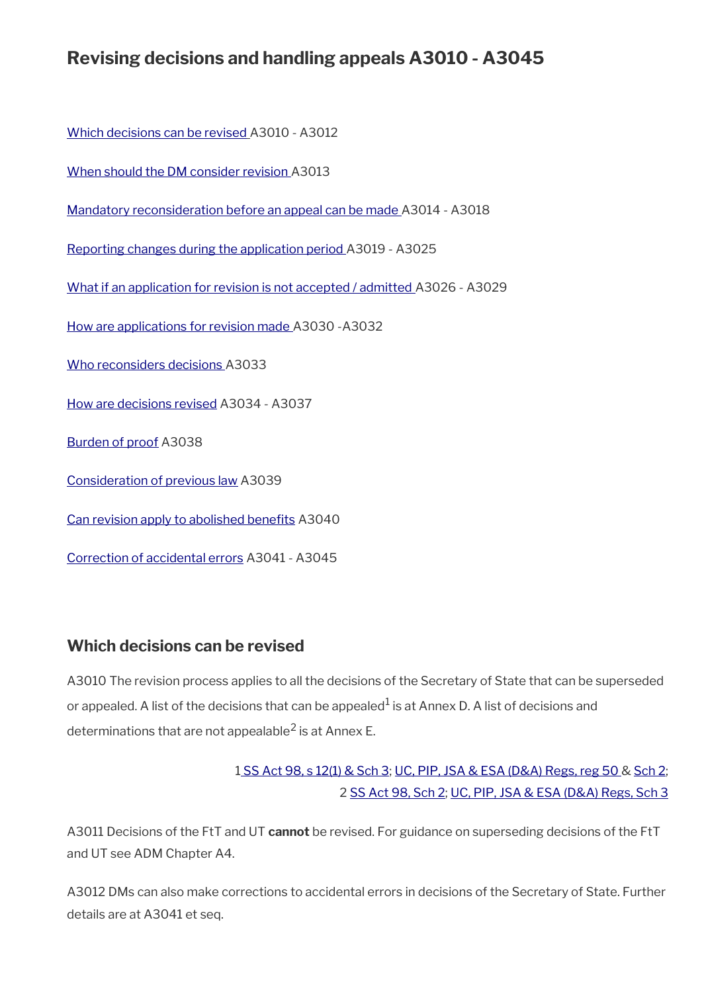# **Revising decisions and handling appeals A3010 - A3045**

[Which decisions can be revised](#page-4-0) A3010 - A3012

[When should the DM consider revision](#page-5-1) A3013

[Mandatory reconsideration before an appeal can be made](#page-5-0) A3014 - A3018

[Reporting changes during the application period](#page-6-0) A3019 - A3025

[What if an application for revision is not accepted / admitted](#page-8-0) A3026 - A3029

[How are applications for revision made](#page-9-0) A3030 -A3032

[Who reconsiders decisions](#page-10-1) A3033

[How are decisions revised](#page-10-0) A3034 - A3037

[Burden of proof](#page-11-1) A3038

[Consideration of previous law](#page-11-0) A3039

Can revision apply to abolished benefits A3040

[Correction of accidental errors](#page-12-0) A3041 - A3045

### <span id="page-4-0"></span>**Which decisions can be revised**

A3010 The revision process applies to all the decisions of the Secretary of State that can be superseded or appealed. A list of the decisions that can be appealed $^1$  is at Annex D. A list of decisions and determinations that are not appealable $^2$  is at Annex E.

## [1 SS Act 98, s 12\(1\) & Sch 3](http://www.legislation.gov.uk/ukpga/1998/14/contents); [UC, PIP, JSA & ESA \(D&A\) Regs, reg 50](http://www.legislation.gov.uk/uksi/2013/381/regulation/50) & [Sch 2;](http://www.legislation.gov.uk/uksi/2013/381/schedule/2) 2 [SS Act 98, Sch 2;](http://www.legislation.gov.uk/ukpga/1998/14/contents) [UC, PIP, JSA & ESA \(D&A\) Regs, Sch 3](http://www.legislation.gov.uk/uksi/2013/381/schedule/3)

A3011 Decisions of the FtT and UT **cannot** be revised. For guidance on superseding decisions of the FtT and UT see ADM Chapter A4.

A3012 DMs can also make corrections to accidental errors in decisions of the Secretary of State. Further details are at A3041 et seq.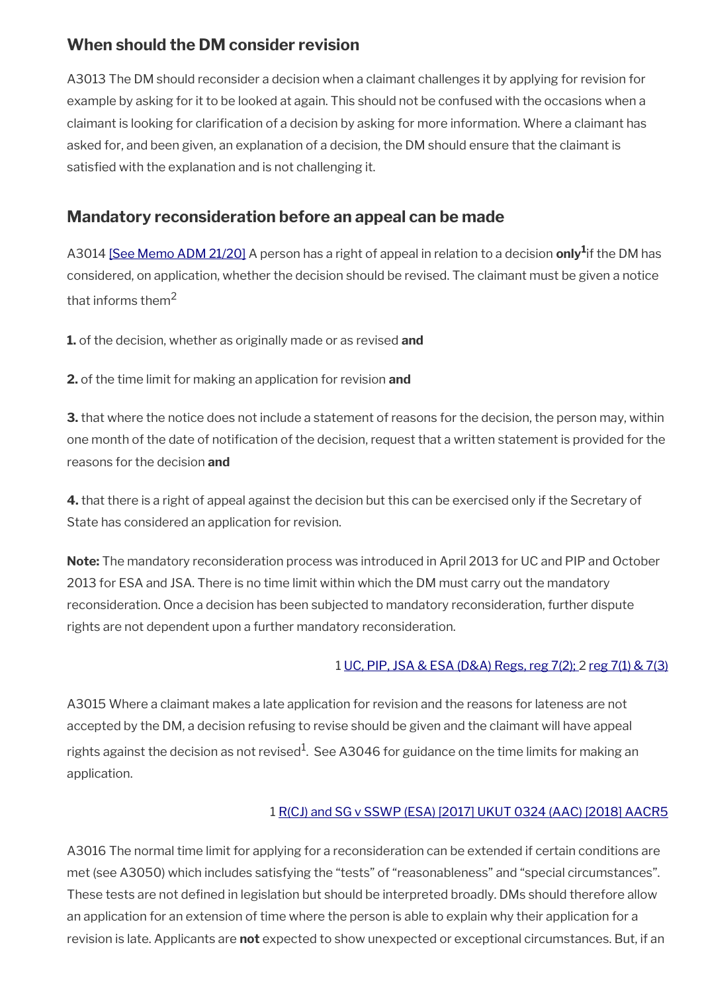# <span id="page-5-1"></span>**When should the DM consider revision**

A3013 The DM should reconsider a decision when a claimant challenges it by applying for revision for example by asking for it to be looked at again. This should not be confused with the occasions when a claimant is looking for clarifcation of a decision by asking for more information. Where a claimant has asked for, and been given, an explanation of a decision, the DM should ensure that the claimant is satisfied with the explanation and is not challenging it.

# <span id="page-5-0"></span>**Mandatory reconsideration before an appeal can be made**

A3014 [\[See Memo ADM 21/20\]](http://intranet.dwp.gov.uk/manual/advice-decision-making-adm/2120-esa-mandatory-reconsideration-and-pending-appeal-awards) A person has a right of appeal in relation to a decision **only<sup>1</sup>** if the DM has considered, on application, whether the decision should be revised. The claimant must be given a notice that informs them<sup>2</sup>

**1.** of the decision, whether as originally made or as revised **and**

**2.** of the time limit for making an application for revision **and**

**3.** that where the notice does not include a statement of reasons for the decision, the person may, within one month of the date of notifcation of the decision, request that a written statement is provided for the reasons for the decision **and**

**4.** that there is a right of appeal against the decision but this can be exercised only if the Secretary of State has considered an application for revision.

**Note:** The mandatory reconsideration process was introduced in April 2013 for UC and PIP and October 2013 for ESA and JSA. There is no time limit within which the DM must carry out the mandatory reconsideration. Once a decision has been subjected to mandatory reconsideration, further dispute rights are not dependent upon a further mandatory reconsideration.

### 1 [UC, PIP, JSA & ESA \(D&A\) Regs, reg 7\(2\);](http://www.legislation.gov.uk/uksi/2013/381/regulation/7) 2 [reg 7\(1\) & 7\(3\)](http://www.legislation.gov.uk/uksi/2013/381/regulation/7)

A3015 Where a claimant makes a late application for revision and the reasons for lateness are not accepted by the DM, a decision refusing to revise should be given and the claimant will have appeal rights against the decision as not revised $^1\!\!$ . See A3046 for guidance on the time limits for making an application.

### 1 [R\(CJ\) and SG v SSWP \(ESA\) \[2017\] UKUT 0324 \(AAC\) \[2018\] AACR5](http://www.gov.uk/administrative-appeals-tribunal-decisions/r-cj-and-sg-v-secretary-of-state-for-work-and-pensions-esa-2017-ukut-324-aac)

A3016 The normal time limit for applying for a reconsideration can be extended if certain conditions are met (see A3050) which includes satisfying the "tests" of "reasonableness" and "special circumstances". These tests are not defined in legislation but should be interpreted broadly. DMs should therefore allow an application for an extension of time where the person is able to explain why their application for a revision is late. Applicants are **not** expected to show unexpected or exceptional circumstances. But, if an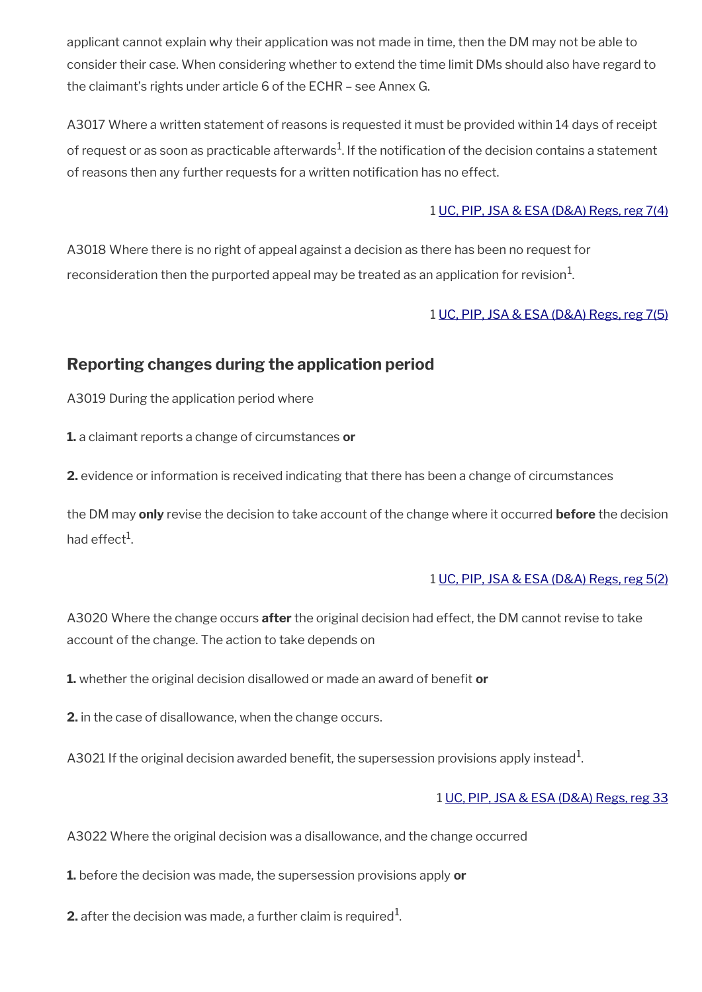applicant cannot explain why their application was not made in time, then the DM may not be able to consider their case. When considering whether to extend the time limit DMs should also have regard to the claimant's rights under article 6 of the ECHR – see Annex G.

A3017 Where a written statement of reasons is requested it must be provided within 14 days of receipt of request or as soon as practicable afterwards $^1$ . If the notification of the decision contains a statement of reasons then any further requests for a written notification has no effect.

### 1 [UC, PIP, JSA & ESA \(D&A\) Regs, reg 7\(4\)](http://www.legislation.gov.uk/uksi/2013/381/regulation/7)

A3018 Where there is no right of appeal against a decision as there has been no request for reconsideration then the purported appeal may be treated as an application for revision $^1$ .

### 1 [UC, PIP, JSA & ESA \(D&A\) Regs, reg 7\(5\)](http://www.legislation.gov.uk/uksi/2013/381/regulation/7)

# <span id="page-6-0"></span>**Reporting changes during the application period**

A3019 During the application period where

**1.** a claimant reports a change of circumstances **or** 

**2.** evidence or information is received indicating that there has been a change of circumstances

the DM may **only** revise the decision to take account of the change where it occurred **before** the decision had effect $^1$ .

### 1 [UC, PIP, JSA & ESA \(D&A\) Regs, reg 5\(2\)](http://www.legislation.gov.uk/uksi/2013/381/regulation/7)

A3020 Where the change occurs **after** the original decision had effect, the DM cannot revise to take account of the change. The action to take depends on

**1.** whether the original decision disallowed or made an award of beneft **or**

**2.** in the case of disallowance, when the change occurs.

A3021 If the original decision awarded benefit, the supersession provisions apply instead $^1$ .

### 1 [UC, PIP, JSA & ESA \(D&A\) Regs, reg 33](http://www.legislation.gov.uk/uksi/2013/381/regulation/33)

A3022 Where the original decision was a disallowance, and the change occurred

**1.** before the decision was made, the supersession provisions apply **or**

**2.** after the decision was made, a further claim is required $^1$ .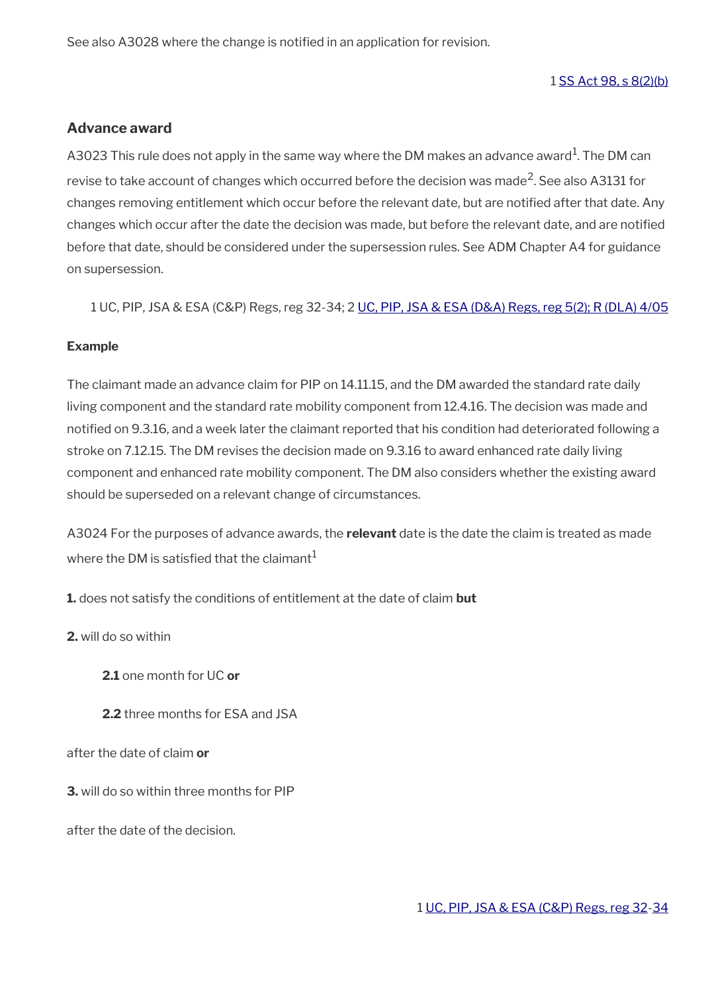See also A3028 where the change is notified in an application for revision.

1 [SS Act 98, s 8\(2\)\(b\)](http://www.legislation.gov.uk/ukpga/1998/14/contents)

#### **Advance award**

A3023 This rule does not apply in the same way where the DM makes an advance award<sup>1</sup>. The DM can revise to take account of changes which occurred before the decision was made<sup>2</sup>. See also A3131 for changes removing entitlement which occur before the relevant date, but are notifed after that date. Any changes which occur after the date the decision was made, but before the relevant date, and are notifed before that date, should be considered under the supersession rules. See ADM Chapter A4 for guidance on supersession.

1 UC, PIP, JSA & ESA (C&P) Regs, reg 32-34; 2 [UC, PIP, JSA & ESA \(D&A\) Regs, reg 5\(2\);](http://www.legislation.gov.uk/uksi/2013/381/regulation/5) [R \(DLA\) 4/05](http://intranet.dwp.gov.uk/manual/decision-benefit/rdla-4-05)

#### **Example**

The claimant made an advance claim for PIP on 14.11.15, and the DM awarded the standard rate daily living component and the standard rate mobility component from 12.4.16. The decision was made and notifed on 9.3.16, and a week later the claimant reported that his condition had deteriorated following a stroke on 7.12.15. The DM revises the decision made on 9.3.16 to award enhanced rate daily living component and enhanced rate mobility component. The DM also considers whether the existing award should be superseded on a relevant change of circumstances.

A3024 For the purposes of advance awards, the **relevant** date is the date the claim is treated as made where the DM is satisfied that the claimant $1$ 

**1.** does not satisfy the conditions of entitlement at the date of claim **but**

**2.** will do so within

**2.1** one month for UC **or**

**2.2** three months for ESA and JSA

after the date of claim **or**

**3.** will do so within three months for PIP

after the date of the decision.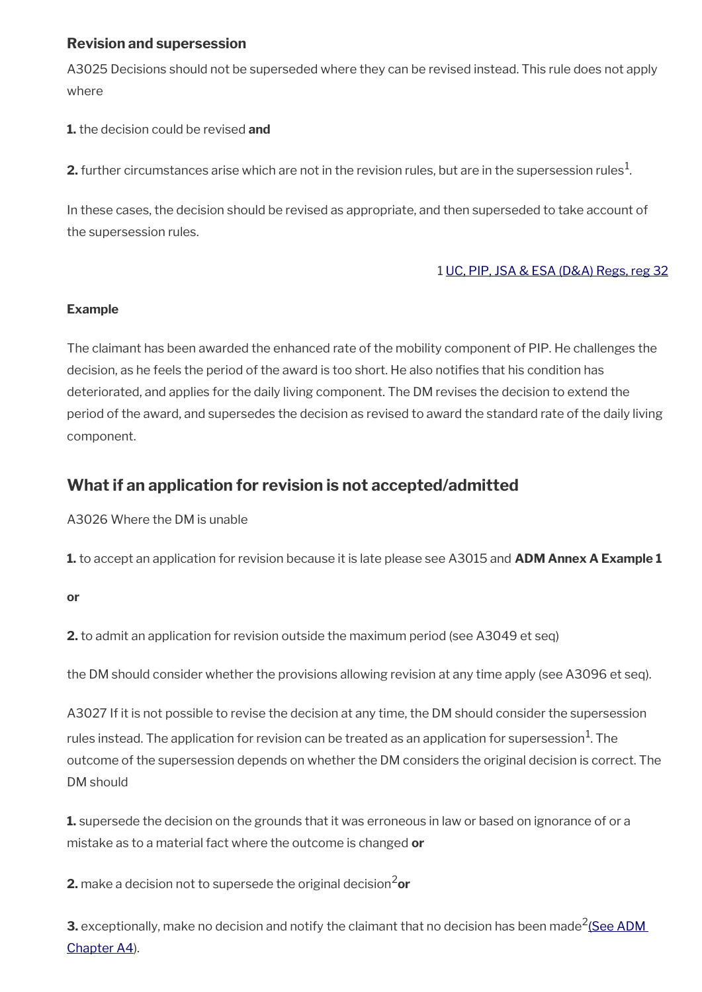## **Revision and supersession**

A3025 Decisions should not be superseded where they can be revised instead. This rule does not apply where

**1.** the decision could be revised **and**

 $\mathbf{2}.$  further circumstances arise which are not in the revision rules, but are in the supersession rules $^1$ .

In these cases, the decision should be revised as appropriate, and then superseded to take account of the supersession rules.

### 1 [UC, PIP, JSA & ESA \(D&A\) Regs, reg 32](http://www.legislation.gov.uk/uksi/2013/381/regulation/32)

### **Example**

The claimant has been awarded the enhanced rate of the mobility component of PIP. He challenges the decision, as he feels the period of the award is too short. He also notifes that his condition has deteriorated, and applies for the daily living component. The DM revises the decision to extend the period of the award, and supersedes the decision as revised to award the standard rate of the daily living component.

# <span id="page-8-0"></span>**What if an application for revision is not accepted/admitted**

A3026 Where the DM is unable

**1.** to accept an application for revision because it is late please see A3015 and **ADM Annex A Example 1**

**or**

**2.** to admit an application for revision outside the maximum period (see A3049 et seq)

the DM should consider whether the provisions allowing revision at any time apply (see A3096 et seq).

A3027 If it is not possible to revise the decision at any time, the DM should consider the supersession rules instead. The application for revision can be treated as an application for supersession $^{\rm 1}$ . The outcome of the supersession depends on whether the DM considers the original decision is correct. The DM should

**1.** supersede the decision on the grounds that it was erroneous in law or based on ignorance of or a mistake as to a material fact where the outcome is changed **or**

**2.** make a decision not to supersede the original decision<sup>2</sup>or

**3.** exceptionally, make no decision and notify the claimant that no decision has been made $^2$ (See ADM [Chapter A4](http://intranet.dwp.gov.uk/manual/advice-decision-making-adm/adm-a4-supersession-suspension-and-termination)).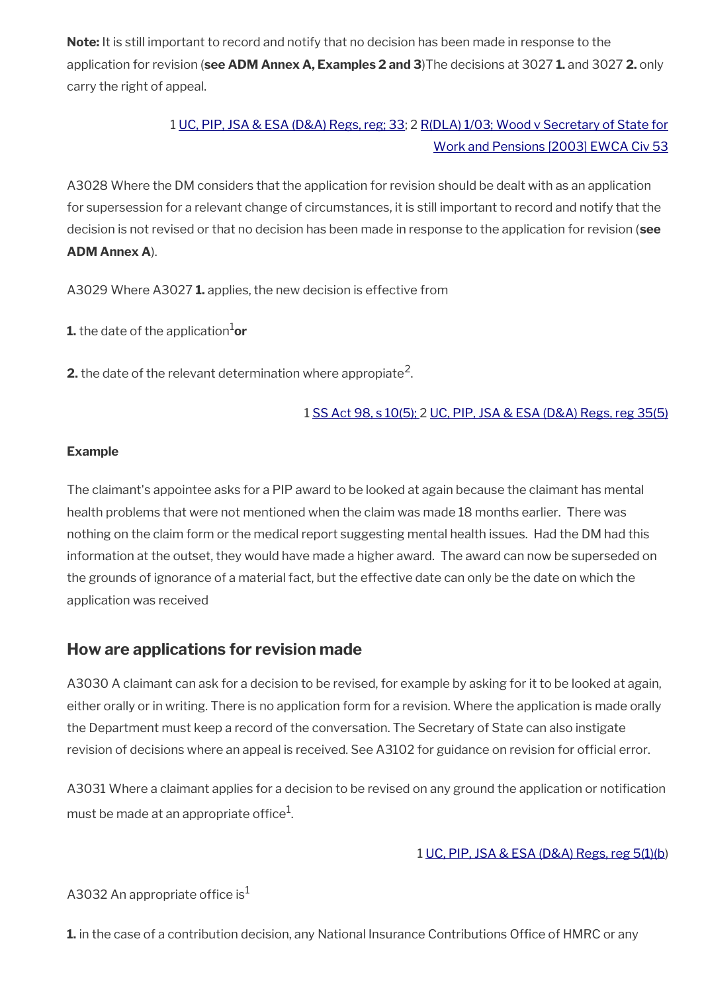**Note:** It is still important to record and notify that no decision has been made in response to the application for revision (**see ADM Annex A, Examples 2 and 3**)The decisions at 3027 **1.** and 3027 **2.** only carry the right of appeal.

# 1 [UC, PIP, JSA & ESA \(D&A\) Regs, reg; 33](http://www.legislation.gov.uk/uksi/2013/381/regulation/33); 2 [R\(DLA\) 1/03; Wood v Secretary of State for](http://intranet.dwp.gov.uk/manual/decision-benefit/rdla-1-03) [Work and Pensions \[2003\] EWCA Civ 53](http://intranet.dwp.gov.uk/manual/decision-benefit/rdla-1-03)

A3028 Where the DM considers that the application for revision should be dealt with as an application for supersession for a relevant change of circumstances, it is still important to record and notify that the decision is not revised or that no decision has been made in response to the application for revision (**see ADM Annex A**).

A3029 Where A3027 **1.** applies, the new decision is effective from

**1.** the date of the application<sup>1</sup>or

**2.** the date of the relevant determination where appropiate<sup>2</sup>.

### 1 [SS Act 98, s 10\(5\);](http://www.legislation.gov.uk/ukpga/1998/14/contents) 2 [UC, PIP, JSA & ESA \(D&A\) Regs, reg 35\(5\)](http://www.legislation.gov.uk/uksi/2013/381/regulation/35)

### **Example**

The claimant's appointee asks for a PIP award to be looked at again because the claimant has mental health problems that were not mentioned when the claim was made 18 months earlier. There was nothing on the claim form or the medical report suggesting mental health issues. Had the DM had this information at the outset, they would have made a higher award. The award can now be superseded on the grounds of ignorance of a material fact, but the effective date can only be the date on which the application was received

# <span id="page-9-0"></span>**How are applications for revision made**

A3030 A claimant can ask for a decision to be revised, for example by asking for it to be looked at again, either orally or in writing. There is no application form for a revision. Where the application is made orally the Department must keep a record of the conversation. The Secretary of State can also instigate revision of decisions where an appeal is received. See A3102 for guidance on revision for official error.

A3031 Where a claimant applies for a decision to be revised on any ground the application or notifcation must be made at an appropriate office $^1\!\!$ 

### 1 [UC, PIP, JSA & ESA \(D&A\) Regs, reg 5\(1\)\(b](http://www.legislation.gov.uk/uksi/2013/381/regulation/5))

A3032 An appropriate office is<sup>1</sup>

1. in the case of a contribution decision, any National Insurance Contributions Office of HMRC or any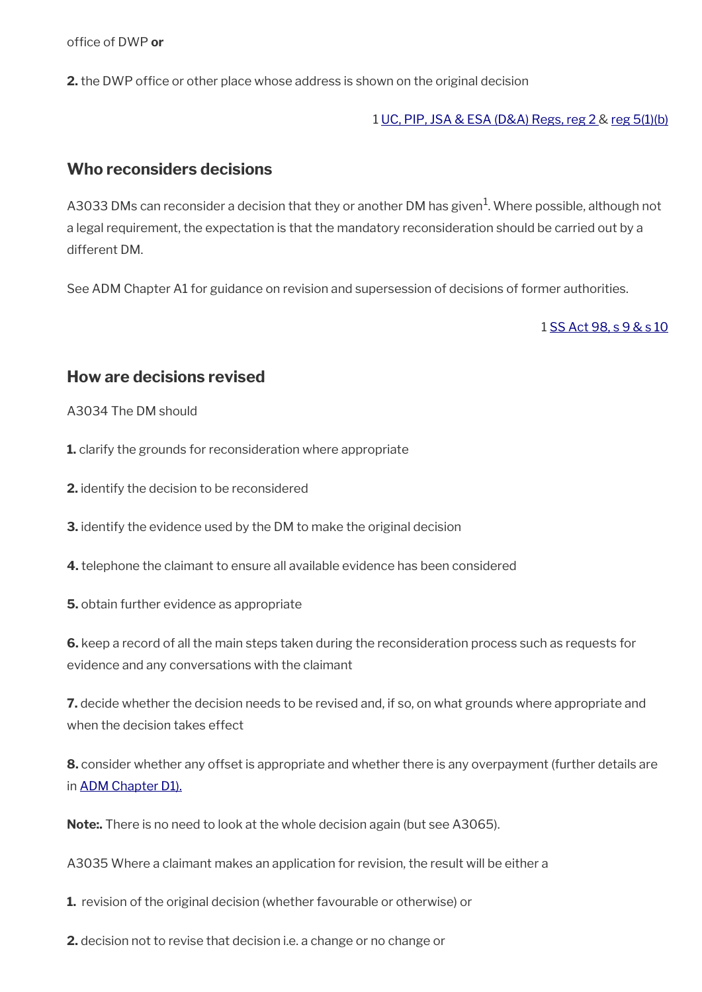office of DWP or

**2.** the DWP office or other place whose address is shown on the original decision

1 [UC, PIP, JSA & ESA \(D&A\) Regs, reg 2 &](http://www.legislation.gov.uk/uksi/2013/381/regulation/2) [reg 5\(1\)\(b\)](http://www.legislation.gov.uk/uksi/2013/381/regulation/5)

### <span id="page-10-1"></span>**Who reconsiders decisions**

A3033 DMs can reconsider a decision that they or another DM has given $^1$ . Where possible, although not a legal requirement, the expectation is that the mandatory reconsideration should be carried out by a different DM.

See ADM Chapter A1 for guidance on revision and supersession of decisions of former authorities.

1 [SS Act 98, s 9 & s 10](http://www.legislation.gov.uk/ukpga/1998/14/contents)

### <span id="page-10-0"></span>**How are decisions revised**

A3034 The DM should

**1.** clarify the grounds for reconsideration where appropriate

**2.** identify the decision to be reconsidered

**3.** identify the evidence used by the DM to make the original decision

**4.** telephone the claimant to ensure all available evidence has been considered

**5.** obtain further evidence as appropriate

**6.** keep a record of all the main steps taken during the reconsideration process such as requests for evidence and any conversations with the claimant

**7.** decide whether the decision needs to be revised and, if so, on what grounds where appropriate and when the decision takes effect

**8.** consider whether any offset is appropriate and whether there is any overpayment (further details are in [ADM Chapter D1\).](http://intranet.dwp.gov.uk/manual/advice-decision-making-adm/adm-chapter-d1-overpayments-recoverability-adjustments-civil-penalties-and-recoupment-%E2%80%93-uc-jsa)

**Note:.** There is no need to look at the whole decision again (but see A3065).

A3035 Where a claimant makes an application for revision, the result will be either a

**1.** revision of the original decision (whether favourable or otherwise) or

**2.** decision not to revise that decision i.e. a change or no change or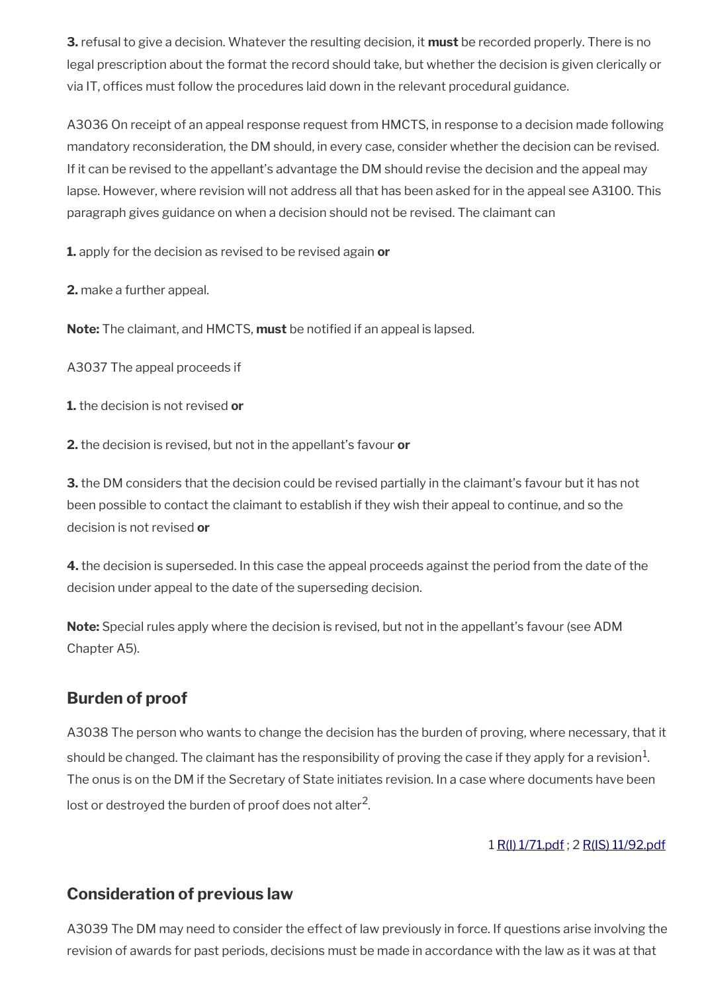**3.** refusal to give a decision. Whatever the resulting decision, it **must** be recorded properly. There is no legal prescription about the format the record should take, but whether the decision is given clerically or via IT, offices must follow the procedures laid down in the relevant procedural guidance.

A3036 On receipt of an appeal response request from HMCTS, in response to a decision made following mandatory reconsideration, the DM should, in every case, consider whether the decision can be revised. If it can be revised to the appellant's advantage the DM should revise the decision and the appeal may lapse. However, where revision will not address all that has been asked for in the appeal see A3100. This paragraph gives guidance on when a decision should not be revised. The claimant can

**1.** apply for the decision as revised to be revised again **or**

**2.** make a further appeal.

**Note:** The claimant, and HMCTS, **must** be notifed if an appeal is lapsed.

A3037 The appeal proceeds if

**1.** the decision is not revised **or**

**2.** the decision is revised, but not in the appellant's favour **or** 

**3.** the DM considers that the decision could be revised partially in the claimant's favour but it has not been possible to contact the claimant to establish if they wish their appeal to continue, and so the decision is not revised **or**

**4.** the decision is superseded. In this case the appeal proceeds against the period from the date of the decision under appeal to the date of the superseding decision.

**Note:** Special rules apply where the decision is revised, but not in the appellant's favour (see ADM Chapter A5).

# <span id="page-11-1"></span>**Burden of proof**

A3038 The person who wants to change the decision has the burden of proving, where necessary, that it should be changed. The claimant has the responsibility of proving the case if they apply for a revision $^1\!$ . The onus is on the DM if the Secretary of State initiates revision. In a case where documents have been lost or destroyed the burden of proof does not alter $^2$ .

1 [R\(I\) 1/71.pdf](../file/869051/download/R%2528I%2529%25201%252F71.pdf) ; 2 [R\(IS\) 11/92.pdf](../file/869053/download/R%2528IS%2529%252011%252F92.pdf)

# <span id="page-11-0"></span>**Consideration of previous law**

A3039 The DM may need to consider the effect of law previously in force. If questions arise involving the revision of awards for past periods, decisions must be made in accordance with the law as it was at that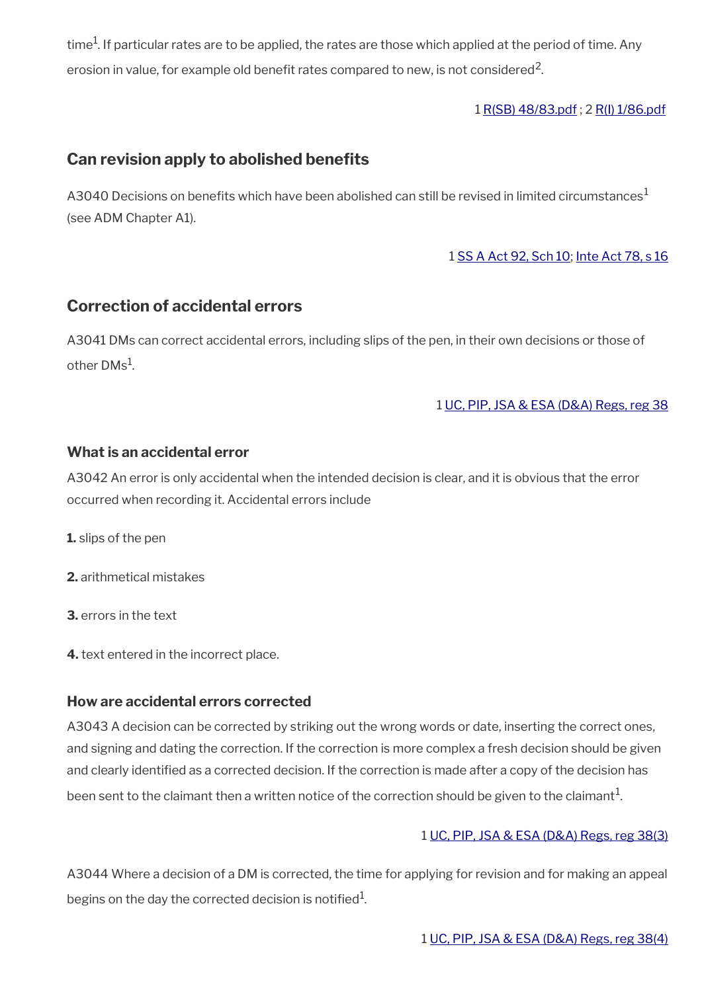time $^{\rm 1}$ . If particular rates are to be applied, the rates are those which applied at the period of time. Any erosion in value, for example old benefit rates compared to new, is not considered<sup>2</sup>.

1 [R\(SB\) 48/83.pdf](../file/869069/download/R%2528SB%2529%252048%252F83.pdf) ; 2 [R\(I\) 1/86.pdf](../file/869070/download/R%2528I%2529%25201%252F86.pdf)

# <span id="page-12-1"></span>**Can revision apply to abolished benefts**

A3040 Decisions on benefits which have been abolished can still be revised in limited circumstances<sup>1</sup> (see ADM Chapter A1).

1 [SS A Act 92, Sch 10](http://www.legislation.gov.uk/ukpga/1992/5/contents); [Inte Act 78, s 16](http://www.legislation.gov.uk/ukpga/1978/30/section/16)

# <span id="page-12-0"></span>**Correction of accidental errors**

A3041 DMs can correct accidental errors, including slips of the pen, in their own decisions or those of other  $\mathsf{DMs}^1$ .

1 [UC, PIP, JSA & ESA \(D&A\) Regs, reg 38](http://www.legislation.gov.uk/uksi/2013/381/regulation/38)

### **What is an accidental error**

A3042 An error is only accidental when the intended decision is clear, and it is obvious that the error occurred when recording it. Accidental errors include

**1.** slips of the pen

**2.** arithmetical mistakes

**3.** errors in the text

**4.** text entered in the incorrect place.

### **How are accidental errors corrected**

A3043 A decision can be corrected by striking out the wrong words or date, inserting the correct ones, and signing and dating the correction. If the correction is more complex a fresh decision should be given and clearly identifed as a corrected decision. If the correction is made after a copy of the decision has been sent to the claimant then a written notice of the correction should be given to the claimant $^1$ .

#### 1 [UC, PIP, JSA & ESA \(D&A\) Regs, reg 38\(3\)](http://www.legislation.gov.uk/uksi/2013/381/regulation/38)

A3044 Where a decision of a DM is corrected, the time for applying for revision and for making an appeal begins on the day the corrected decision is notified $^{\rm 1}$ .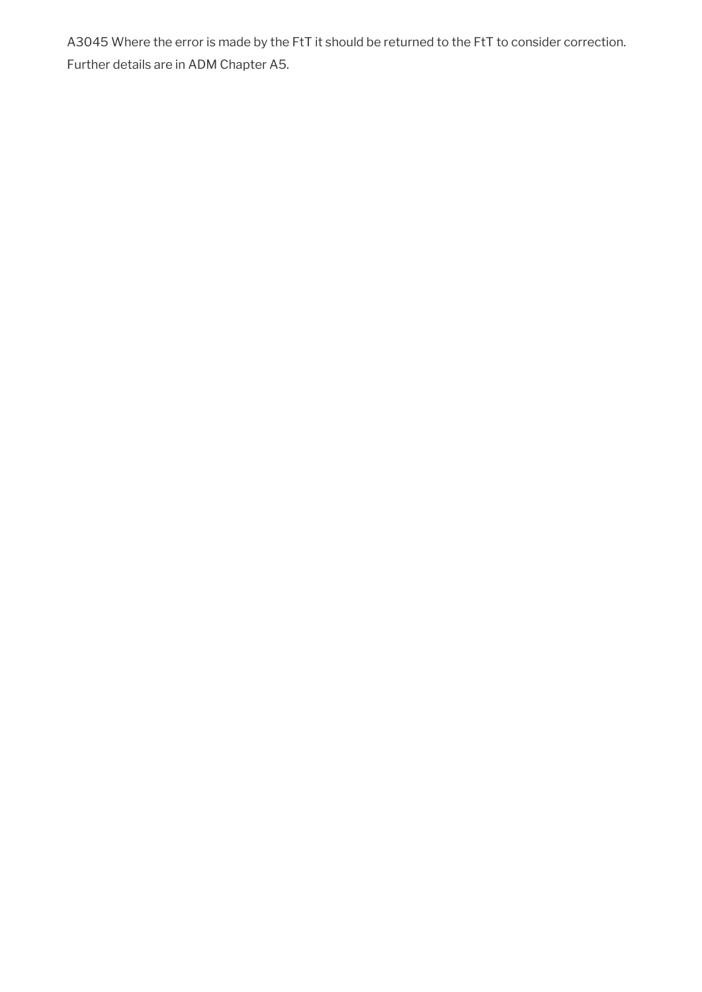A3045 Where the error is made by the FtT it should be returned to the FtT to consider correction. Further details are in ADM Chapter A5.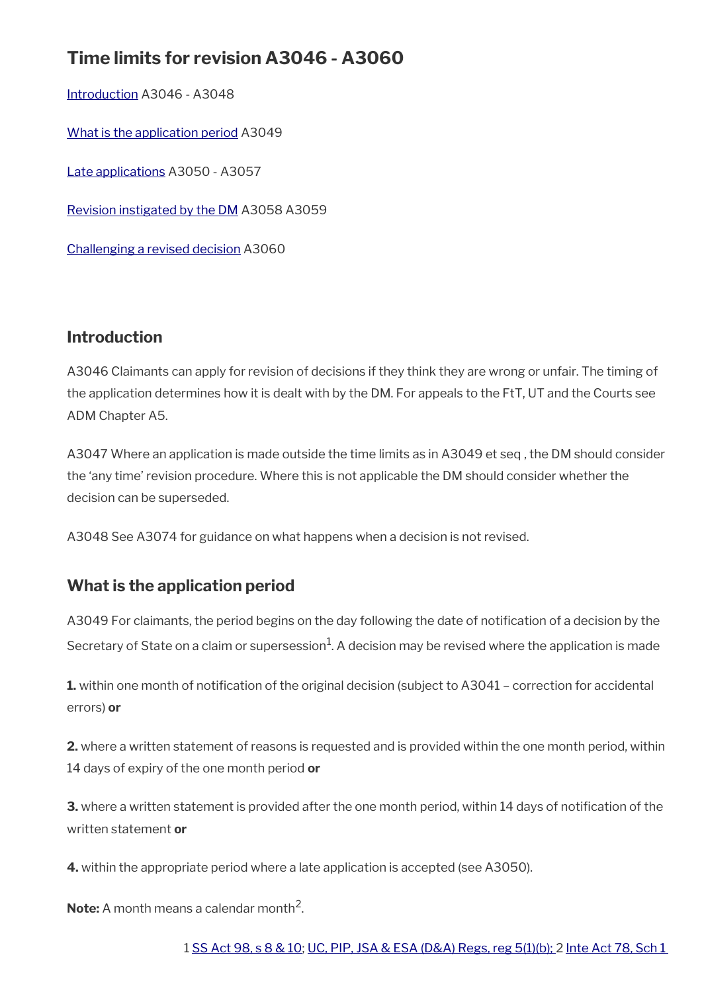# **Time limits for revision A3046 - A3060**

[Introduction](#page-14-1) A3046 - A3048 [What is the application period](#page-14-0) A3049 [Late applications](#page-15-0) A3050 - A3057 [Revision instigated by the DM](#page-17-0) A3058 A3059 [Challenging a revised decision](#page-18-0) A3060

# <span id="page-14-1"></span>**Introduction**

A3046 Claimants can apply for revision of decisions if they think they are wrong or unfair. The timing of the application determines how it is dealt with by the DM. For appeals to the FtT, UT and the Courts see ADM Chapter A5.

A3047 Where an application is made outside the time limits as in A3049 et seq , the DM should consider the 'any time' revision procedure. Where this is not applicable the DM should consider whether the decision can be superseded.

A3048 See A3074 for guidance on what happens when a decision is not revised.

# <span id="page-14-0"></span>**What is the application period**

A3049 For claimants, the period begins on the day following the date of notifcation of a decision by the Secretary of State on a claim or supersession $^1$ . A decision may be revised where the application is made

**1.** within one month of notification of the original decision (subject to A3041 – correction for accidental errors) **or**

**2.** where a written statement of reasons is requested and is provided within the one month period, within 14 days of expiry of the one month period **or**

**3.** where a written statement is provided after the one month period, within 14 days of notification of the written statement **or**

**4.** within the appropriate period where a late application is accepted (see A3050).

**Note:** A month means a calendar month<sup>2</sup>.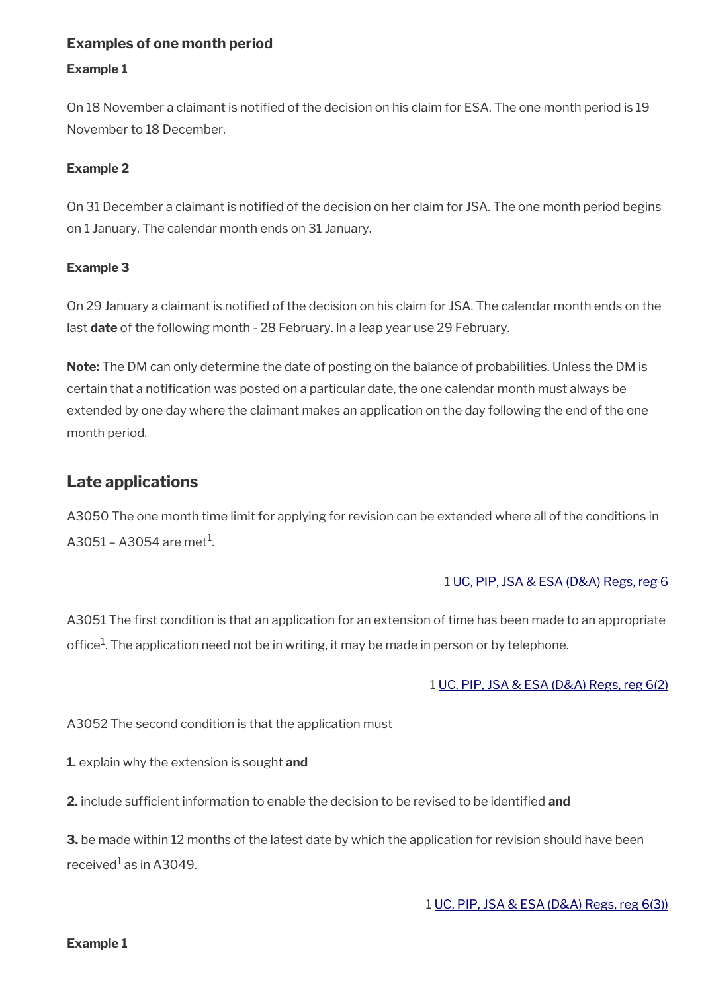### **Examples of one month period**

#### **Example 1**

On 18 November a claimant is notifed of the decision on his claim for ESA. The one month period is 19 November to 18 December.

### **Example 2**

On 31 December a claimant is notifed of the decision on her claim for JSA. The one month period begins on 1 January. The calendar month ends on 31 January.

#### **Example 3**

On 29 January a claimant is notifed of the decision on his claim for JSA. The calendar month ends on the last **date** of the following month - 28 February. In a leap year use 29 February.

**Note:** The DM can only determine the date of posting on the balance of probabilities. Unless the DM is certain that a notifcation was posted on a particular date, the one calendar month must always be extended by one day where the claimant makes an application on the day following the end of the one month period.

### <span id="page-15-0"></span>**Late applications**

A3050 The one month time limit for applying for revision can be extended where all of the conditions in A3051 – A3054 are met $^{\rm 1}$ .

#### 1 [UC, PIP, JSA & ESA \(D&A\) Regs, reg 6](http://www.legislation.gov.uk/uksi/2013/381/regulation/6)

A3051 The first condition is that an application for an extension of time has been made to an appropriate office $^1$ . The application need not be in writing, it may be made in person or by telephone.

#### 1 [UC, PIP, JSA & ESA \(D&A\) Regs, reg 6\(2\)](http://www.legislation.gov.uk/uksi/2013/381/regulation/6)

A3052 The second condition is that the application must

**1.** explain why the extension is sought **and** 

**2.** include sufficient information to enable the decision to be revised to be identified and

**3.** be made within 12 months of the latest date by which the application for revision should have been received $^{\rm 1}$ as in A3049.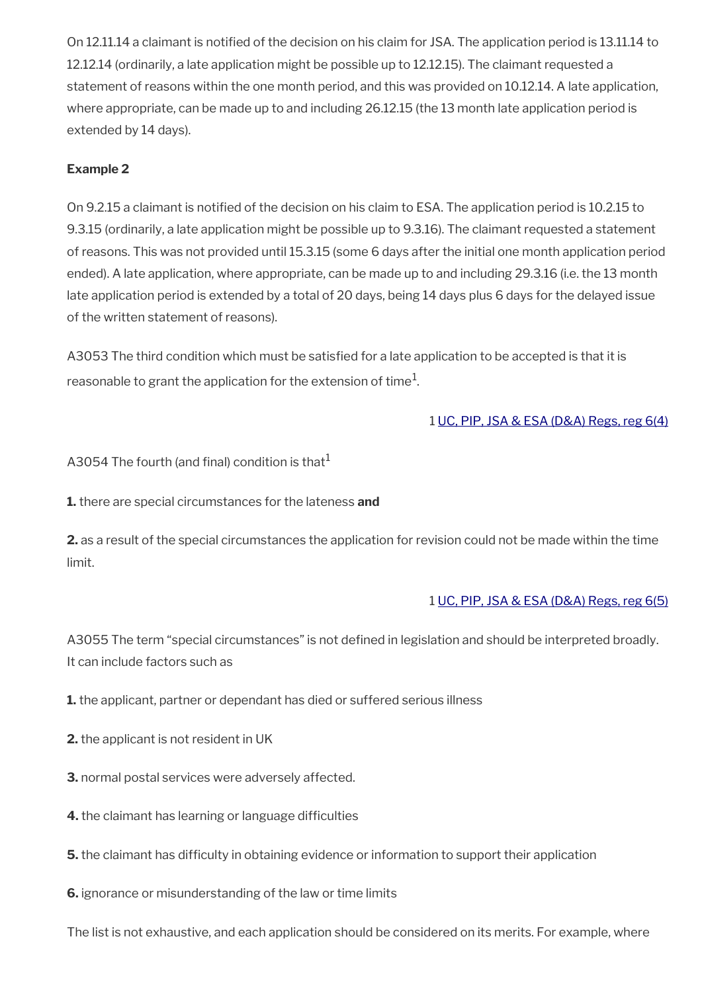On 12.11.14 a claimant is notifed of the decision on his claim for JSA. The application period is 13.11.14 to 12.12.14 (ordinarily, a late application might be possible up to 12.12.15). The claimant requested a statement of reasons within the one month period, and this was provided on 10.12.14. A late application, where appropriate, can be made up to and including 26.12.15 (the 13 month late application period is extended by 14 days).

### **Example 2**

On 9.2.15 a claimant is notifed of the decision on his claim to ESA. The application period is 10.2.15 to 9.3.15 (ordinarily, a late application might be possible up to 9.3.16). The claimant requested a statement of reasons. This was not provided until 15.3.15 (some 6 days after the initial one month application period ended). A late application, where appropriate, can be made up to and including 29.3.16 (i.e. the 13 month late application period is extended by a total of 20 days, being 14 days plus 6 days for the delayed issue of the written statement of reasons).

A3053 The third condition which must be satisfied for a late application to be accepted is that it is reasonable to grant the application for the extension of time $^1\!$ 

### 1 [UC, PIP, JSA & ESA \(D&A\) Regs, reg 6\(4\)](http://www.legislation.gov.uk/uksi/2013/381/regulation/6)

A3054 The fourth (and final) condition is that<sup>1</sup>

**1.** there are special circumstances for the lateness **and**

**2.** as a result of the special circumstances the application for revision could not be made within the time limit.

#### 1 [UC, PIP, JSA & ESA \(D&A\) Regs, reg 6\(5\)](http://www.legislation.gov.uk/uksi/2013/381/regulation/6)

A3055 The term "special circumstances" is not defined in legislation and should be interpreted broadly. It can include factors such as

**1.** the applicant, partner or dependant has died or suffered serious illness

- **2.** the applicant is not resident in UK
- **3.** normal postal services were adversely affected.
- **4.** the claimant has learning or language difficulties

**5.** the claimant has difficulty in obtaining evidence or information to support their application

**6.** ignorance or misunderstanding of the law or time limits

The list is not exhaustive, and each application should be considered on its merits. For example, where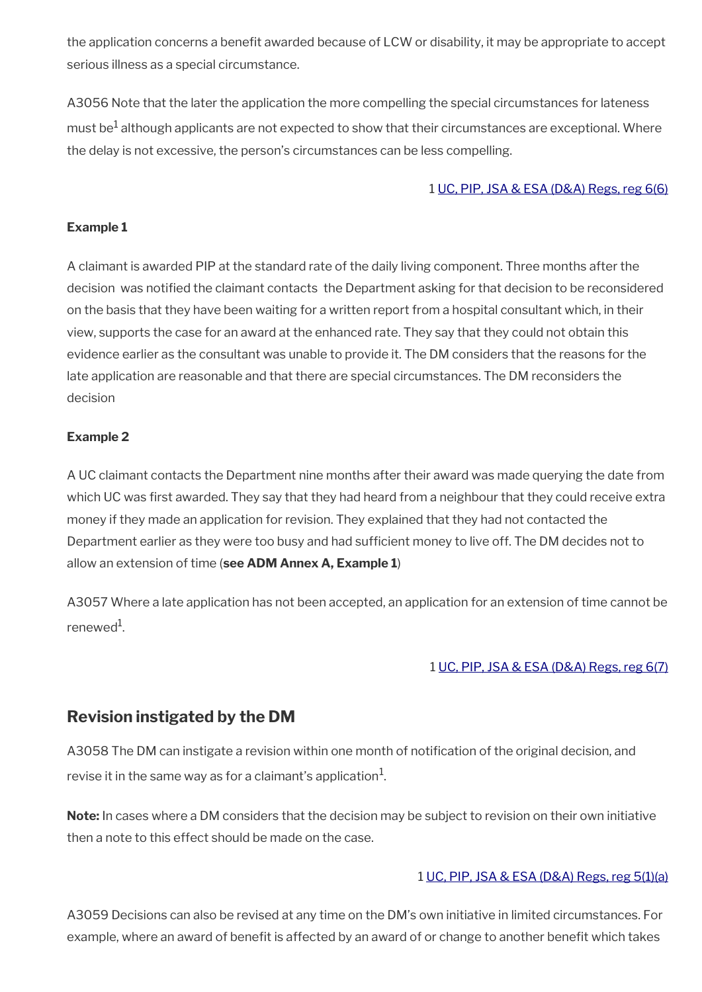the application concerns a benefit awarded because of LCW or disability, it may be appropriate to accept serious illness as a special circumstance.

A3056 Note that the later the application the more compelling the special circumstances for lateness must be $^1$  although applicants are not expected to show that their circumstances are exceptional. Where the delay is not excessive, the person's circumstances can be less compelling.

### 1 [UC, PIP, JSA & ESA \(D&A\) Regs, reg 6\(6\)](http://www.legislation.gov.uk/uksi/2013/381/regulation/6)

### **Example 1**

A claimant is awarded PIP at the standard rate of the daily living component. Three months after the decision was notifed the claimant contacts the Department asking for that decision to be reconsidered on the basis that they have been waiting for a written report from a hospital consultant which, in their view, supports the case for an award at the enhanced rate. They say that they could not obtain this evidence earlier as the consultant was unable to provide it. The DM considers that the reasons for the late application are reasonable and that there are special circumstances. The DM reconsiders the decision

#### **Example 2**

A UC claimant contacts the Department nine months after their award was made querying the date from which UC was first awarded. They say that they had heard from a neighbour that they could receive extra money if they made an application for revision. They explained that they had not contacted the Department earlier as they were too busy and had sufficient money to live off. The DM decides not to allow an extension of time (**see ADM Annex A, Example 1**)

A3057 Where a late application has not been accepted, an application for an extension of time cannot be renewed<sup>1</sup>.

### 1 [UC, PIP, JSA & ESA \(D&A\) Regs, reg 6\(7\)](http://www.legislation.gov.uk/uksi/2013/381/regulation/6)

# <span id="page-17-0"></span>**Revision instigated by the DM**

A3058 The DM can instigate a revision within one month of notification of the original decision, and revise it in the same way as for a claimant's application $^{\mathrm{1}}$ .

**Note:** In cases where a DM considers that the decision may be subject to revision on their own initiative then a note to this effect should be made on the case.

### 1 [UC, PIP, JSA & ESA \(D&A\) Regs, reg 5\(1\)\(a\)](http://www.legislation.gov.uk/uksi/2013/381/regulation/5)

A3059 Decisions can also be revised at any time on the DM's own initiative in limited circumstances. For example, where an award of benefit is affected by an award of or change to another benefit which takes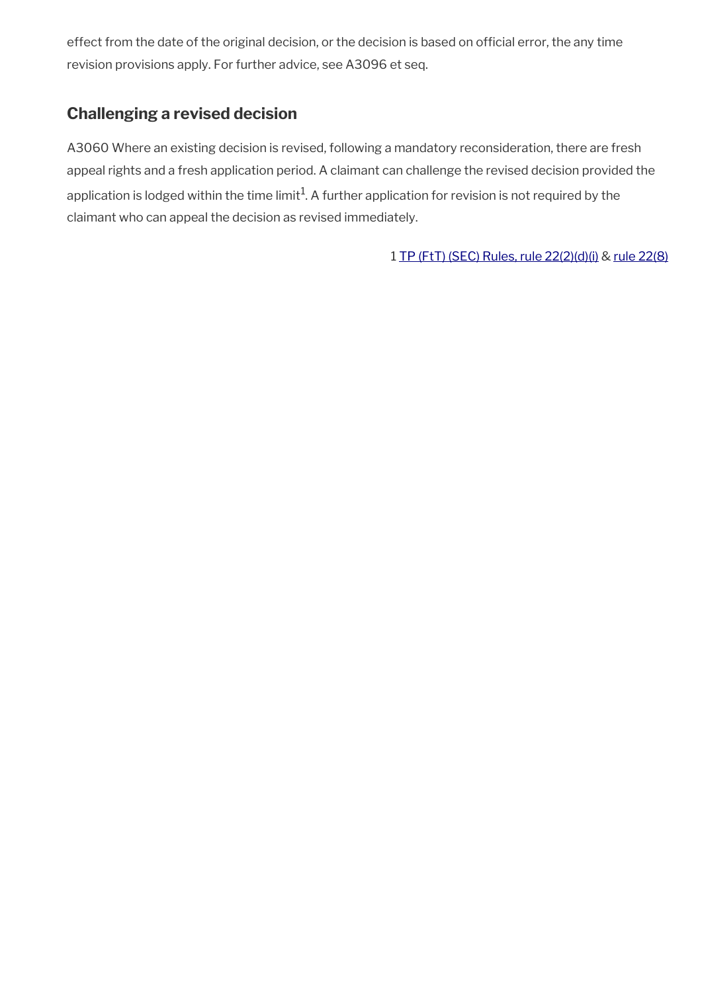effect from the date of the original decision, or the decision is based on official error, the any time revision provisions apply. For further advice, see A3096 et seq.

# <span id="page-18-0"></span>**Challenging a revised decision**

A3060 Where an existing decision is revised, following a mandatory reconsideration, there are fresh appeal rights and a fresh application period. A claimant can challenge the revised decision provided the application is lodged within the time limit $^1$ . A further application for revision is not required by the claimant who can appeal the decision as revised immediately.

1 [TP \(FtT\) \(SEC\) Rules,](http://www.legislation.gov.uk/uksi/2008/2685/article/22) rule 22(2)(d)(i) & [rule 22\(8\)](http://www.legislation.gov.uk/uksi/2008/2685/article/22)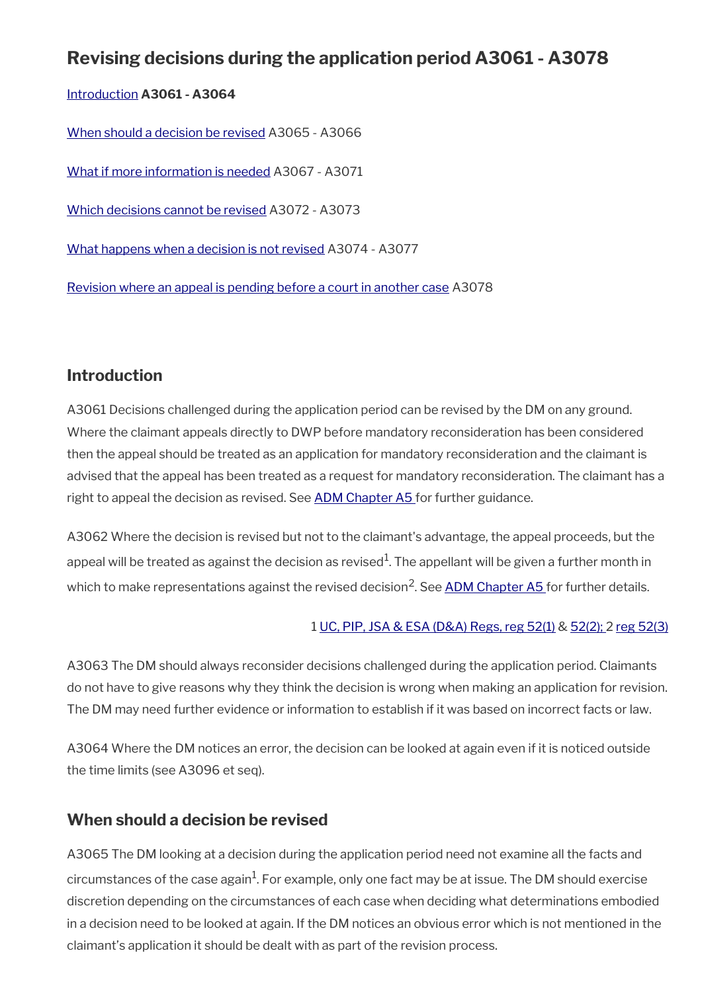# **Revising decisions during the application period A3061 - A3078**

[Introduction](#page-14-1) **A3061 - A3064**

[When should a decision be revised](#page-19-0) A3065 - A3066

[What if more information is needed](#page-20-0) A3067 - A3071

[Which decisions cannot be revised](#page-4-0) A3072 - A3073

[What happens when a decision is not revised](#page-22-0) A3074 - A3077

[Revision where an appeal is pending before a court in another case](#page-23-0) A3078

# **Introduction**

A3061 Decisions challenged during the application period can be revised by the DM on any ground. Where the claimant appeals directly to DWP before mandatory reconsideration has been considered then the appeal should be treated as an application for mandatory reconsideration and the claimant is advised that the appeal has been treated as a request for mandatory reconsideration. The claimant has a right to appeal the decision as revised. See [ADM Chapter A5](http://intranet.dwp.gov.uk/manual/advice-decision-making-adm/adm-a5-appeals-pip-uc-new-style-esa-and-jsa) for further guidance.

A3062 Where the decision is revised but not to the claimant's advantage, the appeal proceeds, but the appeal will be treated as against the decision as revised $^1\!$ . The appellant will be given a further month in which to make representations against the revised decision<sup>2</sup>. See <u>ADM Chapter A5</u> for further details.

### 1 [UC, PIP, JSA & ESA \(D&A\) Regs, reg 52\(1\)](http://www.legislation.gov.uk/uksi/2013/381/regulation/52) & [52\(2\);](http://www.legislation.gov.uk/uksi/2013/381/regulation/52) 2 [reg 52\(3\)](http://www.legislation.gov.uk/uksi/2013/381/regulation/52)

A3063 The DM should always reconsider decisions challenged during the application period. Claimants do not have to give reasons why they think the decision is wrong when making an application for revision. The DM may need further evidence or information to establish if it was based on incorrect facts or law.

A3064 Where the DM notices an error, the decision can be looked at again even if it is noticed outside the time limits (see A3096 et seq).

# <span id="page-19-0"></span>**When should a decision be revised**

A3065 The DM looking at a decision during the application period need not examine all the facts and circumstances of the case again $^1$ . For example, only one fact may be at issue. The DM should exercise discretion depending on the circumstances of each case when deciding what determinations embodied in a decision need to be looked at again. If the DM notices an obvious error which is not mentioned in the claimant's application it should be dealt with as part of the revision process.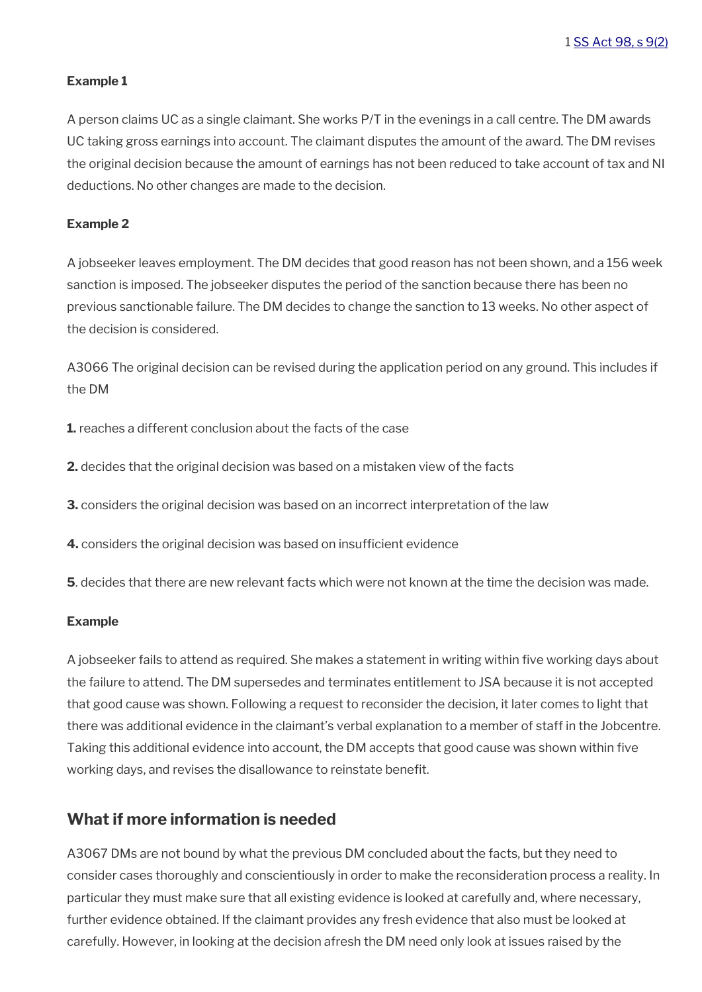#### **Example 1**

A person claims UC as a single claimant. She works P/T in the evenings in a call centre. The DM awards UC taking gross earnings into account. The claimant disputes the amount of the award. The DM revises the original decision because the amount of earnings has not been reduced to take account of tax and NI deductions. No other changes are made to the decision.

#### **Example 2**

A jobseeker leaves employment. The DM decides that good reason has not been shown, and a 156 week sanction is imposed. The jobseeker disputes the period of the sanction because there has been no previous sanctionable failure. The DM decides to change the sanction to 13 weeks. No other aspect of the decision is considered.

A3066 The original decision can be revised during the application period on any ground. This includes if the DM

**1.** reaches a different conclusion about the facts of the case

- **2.** decides that the original decision was based on a mistaken view of the facts
- **3.** considers the original decision was based on an incorrect interpretation of the law

**4.** considers the original decision was based on insufficient evidence

**5**. decides that there are new relevant facts which were not known at the time the decision was made.

#### **Example**

A jobseeker fails to attend as required. She makes a statement in writing within fve working days about the failure to attend. The DM supersedes and terminates entitlement to JSA because it is not accepted that good cause was shown. Following a request to reconsider the decision, it later comes to light that there was additional evidence in the claimant's verbal explanation to a member of staff in the Jobcentre. Taking this additional evidence into account, the DM accepts that good cause was shown within fve working days, and revises the disallowance to reinstate beneft.

### <span id="page-20-0"></span>**What if more information is needed**

A3067 DMs are not bound by what the previous DM concluded about the facts, but they need to consider cases thoroughly and conscientiously in order to make the reconsideration process a reality. In particular they must make sure that all existing evidence is looked at carefully and, where necessary, further evidence obtained. If the claimant provides any fresh evidence that also must be looked at carefully. However, in looking at the decision afresh the DM need only look at issues raised by the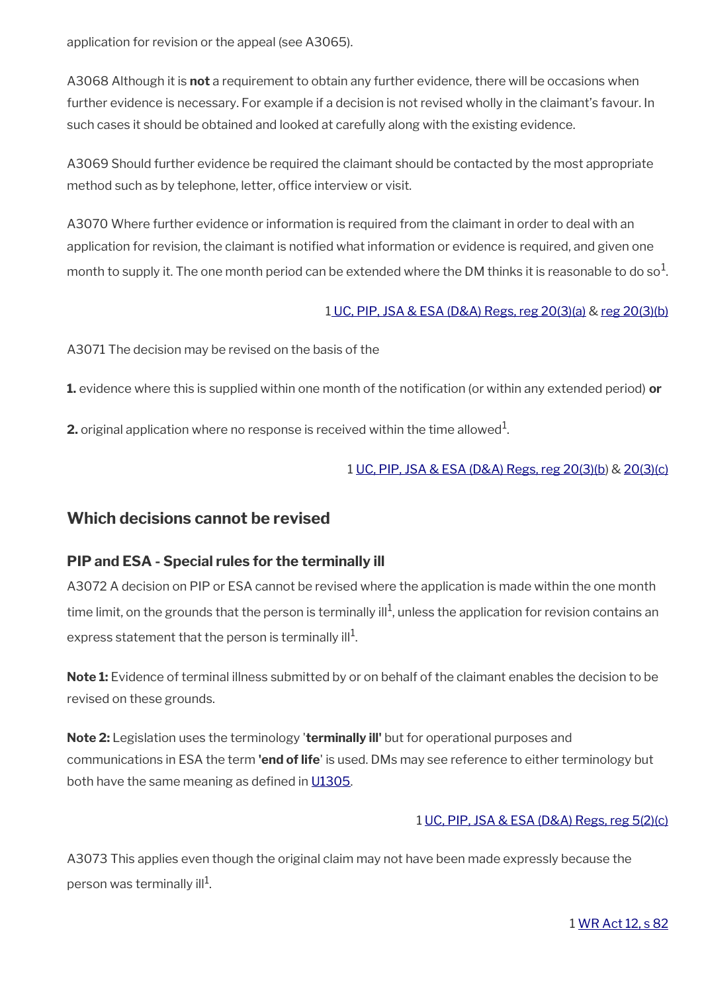application for revision or the appeal (see A3065).

A3068 Although it is **not** a requirement to obtain any further evidence, there will be occasions when further evidence is necessary. For example if a decision is not revised wholly in the claimant's favour. In such cases it should be obtained and looked at carefully along with the existing evidence.

A3069 Should further evidence be required the claimant should be contacted by the most appropriate method such as by telephone, letter, office interview or visit.

A3070 Where further evidence or information is required from the claimant in order to deal with an application for revision, the claimant is notified what information or evidence is required, and given one month to supply it. The one month period can be extended where the DM thinks it is reasonable to do so $^{\rm 1}$ .

#### 1 [UC, PIP, JSA & ESA \(D&A\) Regs, reg 20\(3\)\(a\)](http://www.legislation.gov.uk/uksi/2013/381/regulation/20) & [reg 20\(3\)\(b\)](http://www.legislation.gov.uk/uksi/2013/381/regulation/20)

A3071 The decision may be revised on the basis of the

**1.** evidence where this is supplied within one month of the notification (or within any extended period) **or** 

**2.** original application where no response is received within the time allowed $^1$ .

#### 1 [UC, PIP, JSA & ESA \(D&A\) Regs, reg 20\(3\)\(b](http://www.legislation.gov.uk/uksi/2013/381/regulation/20)) & [20\(3\)\(c\)](http://www.legislation.gov.uk/uksi/2013/381/regulation/20)

### **Which decisions cannot be revised**

### **PIP and ESA - Special rules for the terminally ill**

A3072 A decision on PIP or ESA cannot be revised where the application is made within the one month time limit, on the grounds that the person is terminally ill<sup>1</sup>, unless the application for revision contains an express statement that the person is terminally ill $^1$ .

**Note 1:** Evidence of terminal illness submitted by or on behalf of the claimant enables the decision to be revised on these grounds.

**Note 2:** Legislation uses the terminology '**terminally ill'** but for operational purposes and communications in ESA the term **'end of life**' is used. DMs may see reference to either terminology but both have the same meaning as defined in [U1305](https://intranet.dwp.gov.uk/manual/advice-decision-making-adm/waiting-days-and-linking-rule-u1300-u1999).

#### 1 [UC, PIP, JSA & ESA \(D&A\) Regs, reg 5\(2\)\(c\)](http://www.legislation.gov.uk/uksi/2013/381/regulation/5)

A3073 This applies even though the original claim may not have been made expressly because the person was terminally ill $^1\!\!$ .

1 [WR Act 12, s 82](http://www.legislation.gov.uk/ukpga/2012/5/section/82)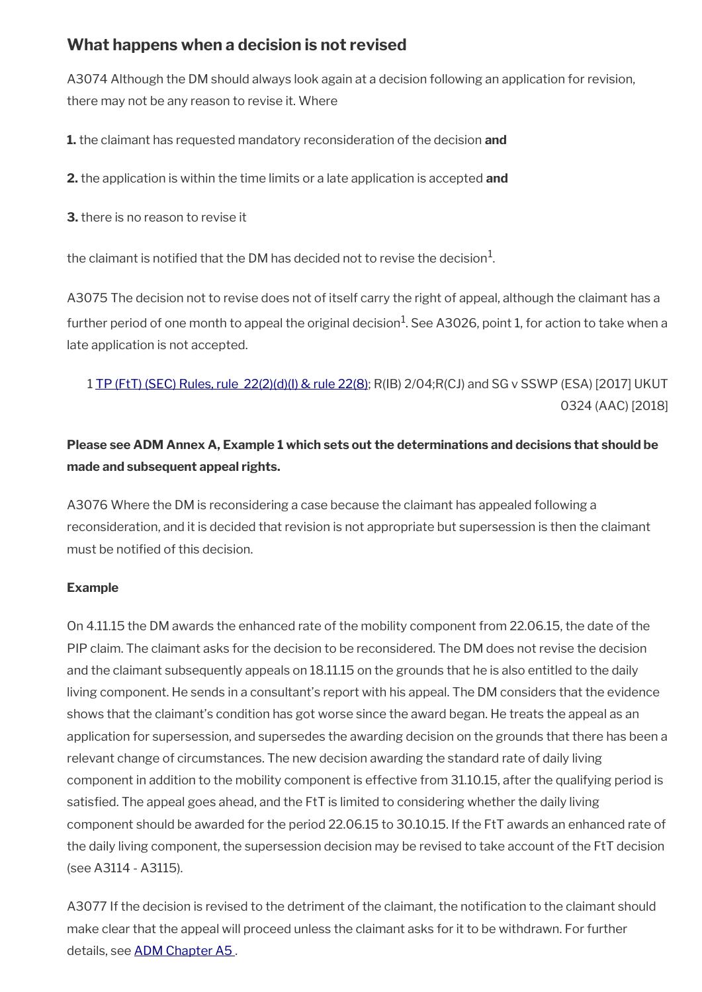# <span id="page-22-0"></span>**What happens when a decision is not revised**

A3074 Although the DM should always look again at a decision following an application for revision, there may not be any reason to revise it. Where

**1.** the claimant has requested mandatory reconsideration of the decision **and**

**2.** the application is within the time limits or a late application is accepted **and**

**3.** there is no reason to revise it

the claimant is notified that the DM has decided not to revise the decision $^1\!\!$ .

A3075 The decision not to revise does not of itself carry the right of appeal, although the claimant has a further period of one month to appeal the original decision $^1$ . See A3026, point 1, for action to take when a late application is not accepted.

1 [TP \(FtT\) \(SEC\) Rules, rule 22\(2\)\(d\)\(I\) & rule 22\(8\)](http://www.legislation.gov.uk/uksi/2008/2685/article/22); R(IB) 2/04;R(CJ) and SG v SSWP (ESA) [2017] UKUT 0324 (AAC) [2018]

# **Please see ADM Annex A, Example 1 which sets out the determinations and decisions that should be made and subsequent appeal rights.**

A3076 Where the DM is reconsidering a case because the claimant has appealed following a reconsideration, and it is decided that revision is not appropriate but supersession is then the claimant must be notified of this decision.

### **Example**

On 4.11.15 the DM awards the enhanced rate of the mobility component from 22.06.15, the date of the PIP claim. The claimant asks for the decision to be reconsidered. The DM does not revise the decision and the claimant subsequently appeals on 18.11.15 on the grounds that he is also entitled to the daily living component. He sends in a consultant's report with his appeal. The DM considers that the evidence shows that the claimant's condition has got worse since the award began. He treats the appeal as an application for supersession, and supersedes the awarding decision on the grounds that there has been a relevant change of circumstances. The new decision awarding the standard rate of daily living component in addition to the mobility component is effective from 31.10.15, after the qualifying period is satisfed. The appeal goes ahead, and the FtT is limited to considering whether the daily living component should be awarded for the period 22.06.15 to 30.10.15. If the FtT awards an enhanced rate of the daily living component, the supersession decision may be revised to take account of the FtT decision (see A3114 - A3115).

A3077 If the decision is revised to the detriment of the claimant, the notification to the claimant should make clear that the appeal will proceed unless the claimant asks for it to be withdrawn. For further details, see ADM Chapter A5.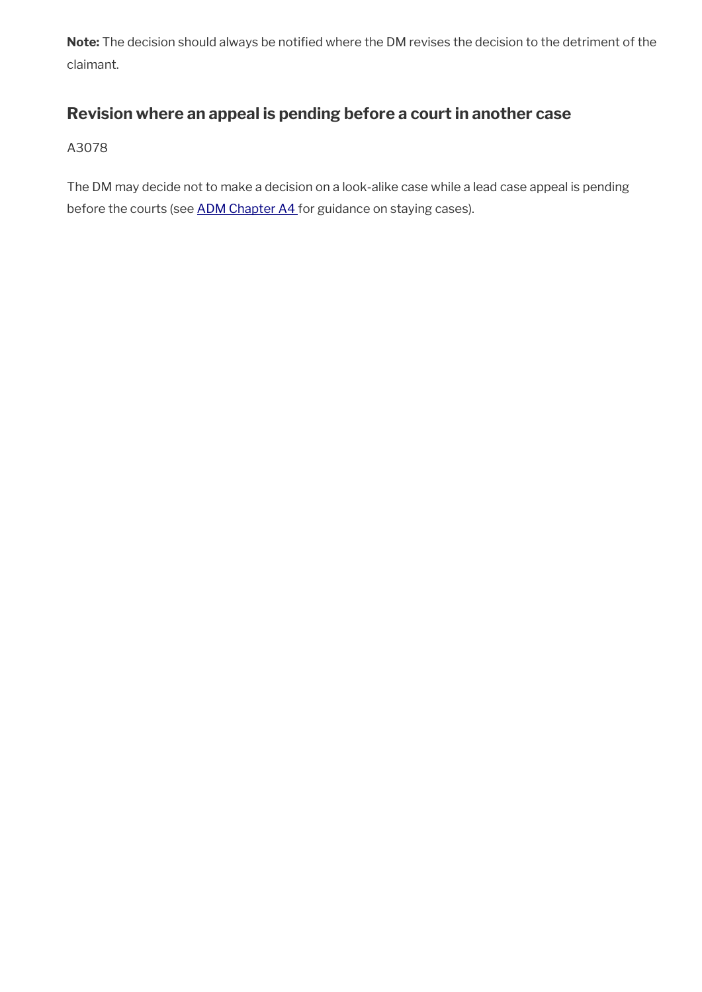**Note:** The decision should always be notifed where the DM revises the decision to the detriment of the claimant.

# <span id="page-23-0"></span>**Revision where an appeal is pending before a court in another case**

A3078

The DM may decide not to make a decision on a look-alike case while a lead case appeal is pending before the courts (see [ADM Chapter A4 f](http://intranet.dwp.gov.uk/manual/advice-decision-making-adm/adm-a4-supersession-suspension-and-termination)or guidance on staying cases).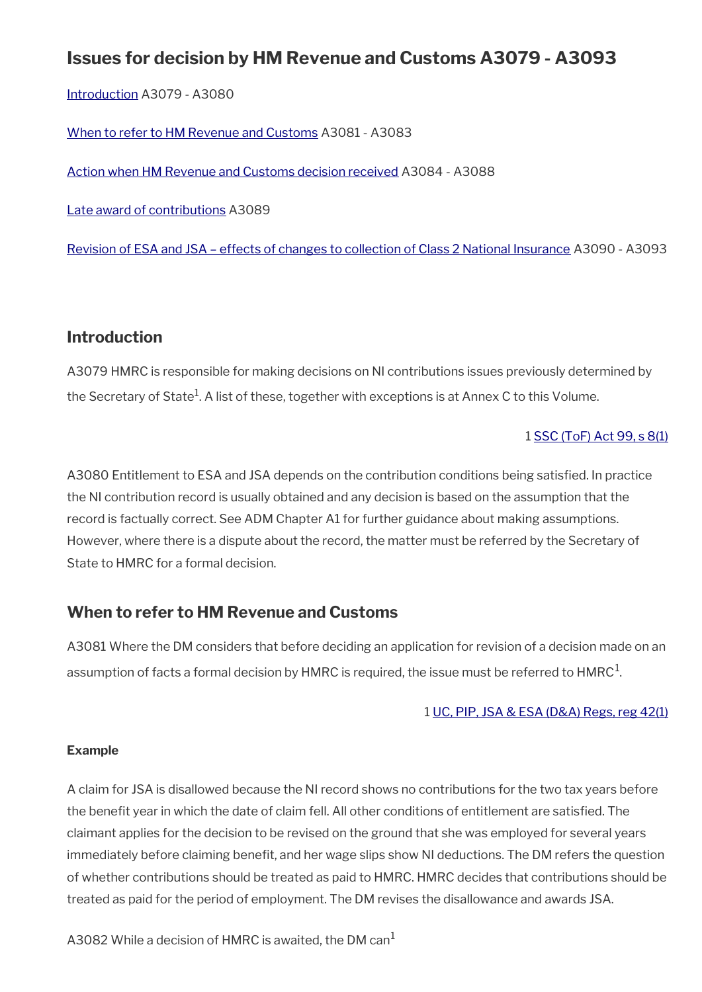# **Issues for decision by HM Revenue and Customs A3079 - A3093**

[Introduction](#page-14-1) A3079 - A3080

[When to refer to HM Revenue and Customs](#page-24-0) A3081 - A3083

[Action when HM Revenue and Customs decision received](#page-25-1) A3084 - A3088

[Late award of contributions](#page-25-0) A3089

[Revision of ESA and JSA – effects of changes to collection of Class 2 National Insurance](#page-26-0) A3090 - A3093

## **Introduction**

A3079 HMRC is responsible for making decisions on NI contributions issues previously determined by the Secretary of State $^1$ . A list of these, together with exceptions is at Annex C to this Volume.

### 1 [SSC \(ToF\) Act 99, s 8\(1\)](http://www.legislation.gov.uk/ukpga/1999/2/section/8)

A3080 Entitlement to ESA and JSA depends on the contribution conditions being satisfed. In practice the NI contribution record is usually obtained and any decision is based on the assumption that the record is factually correct. See ADM Chapter A1 for further guidance about making assumptions. However, where there is a dispute about the record, the matter must be referred by the Secretary of State to HMRC for a formal decision.

# <span id="page-24-0"></span>**When to refer to HM Revenue and Customs**

A3081 Where the DM considers that before deciding an application for revision of a decision made on an assumption of facts a formal decision by <code>HMRC</code> is required, the issue must be referred to <code>HMRC $^{\rm 1}$ .</code>

### 1 [UC, PIP, JSA & ESA \(D&A\) Regs, reg 42\(1\)](http://www.legislation.gov.uk/uksi/2013/381/regulation/42)

#### **Example**

A claim for JSA is disallowed because the NI record shows no contributions for the two tax years before the benefit year in which the date of claim fell. All other conditions of entitlement are satisfied. The claimant applies for the decision to be revised on the ground that she was employed for several years immediately before claiming benefit, and her wage slips show NI deductions. The DM refers the question of whether contributions should be treated as paid to HMRC. HMRC decides that contributions should be treated as paid for the period of employment. The DM revises the disallowance and awards JSA.

A3082 While a decision of HMRC is awaited, the DM can<sup>1</sup>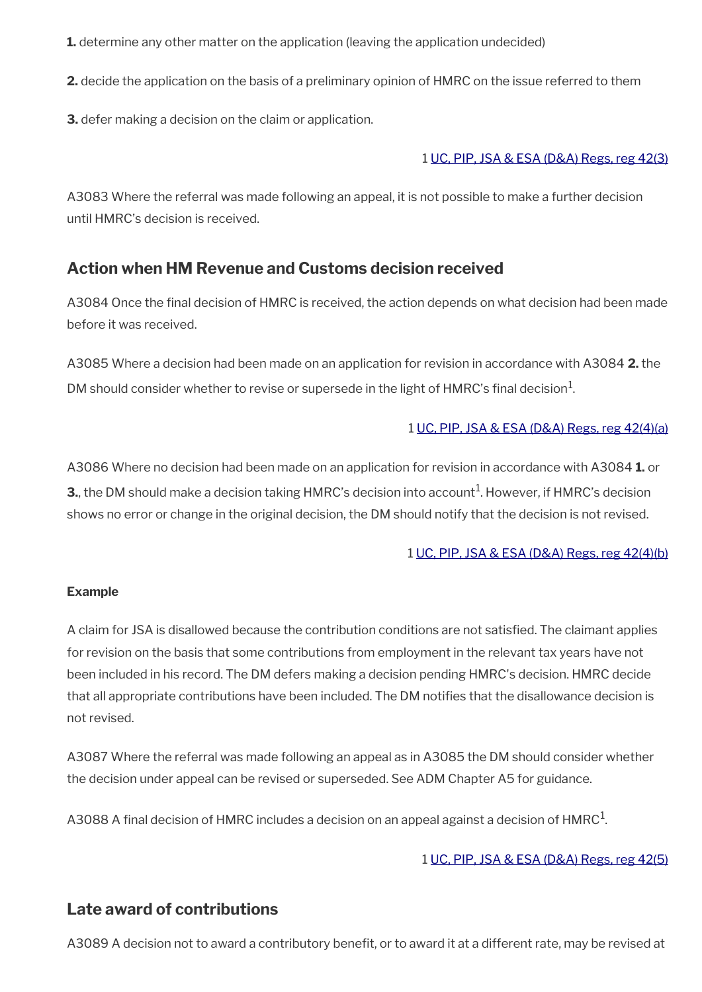**1.** determine any other matter on the application (leaving the application undecided)

**2.** decide the application on the basis of a preliminary opinion of HMRC on the issue referred to them

**3.** defer making a decision on the claim or application.

### 1 [UC, PIP, JSA & ESA \(D&A\) Regs, reg 42\(3\)](http://www.legislation.gov.uk/uksi/2013/381/regulation/42)

A3083 Where the referral was made following an appeal, it is not possible to make a further decision until HMRC's decision is received.

# <span id="page-25-1"></span>**Action when HM Revenue and Customs decision received**

A3084 Once the fnal decision of HMRC is received, the action depends on what decision had been made before it was received.

A3085 Where a decision had been made on an application for revision in accordance with A3084 **2.** the DM should consider whether to revise or supersede in the light of HMRC's final decision $^1$ .

### 1 [UC, PIP, JSA & ESA \(D&A\) Regs, reg 42\(4\)\(a\)](http://www.legislation.gov.uk/uksi/2013/381/regulation/42)

A3086 Where no decision had been made on an application for revision in accordance with A3084 **1.** or **3.**, the DM should make a decision taking  $HMRC$ 's decision into account $^1$ . However, if  $HMRC$ 's decision shows no error or change in the original decision, the DM should notify that the decision is not revised.

### 1 [UC, PIP, JSA & ESA \(D&A\) Regs, reg 42\(4\)\(b\)](http://www.legislation.gov.uk/uksi/2013/381/regulation/42)

### **Example**

A claim for JSA is disallowed because the contribution conditions are not satisfed. The claimant applies for revision on the basis that some contributions from employment in the relevant tax years have not been included in his record. The DM defers making a decision pending HMRC's decision. HMRC decide that all appropriate contributions have been included. The DM notifes that the disallowance decision is not revised.

A3087 Where the referral was made following an appeal as in A3085 the DM should consider whether the decision under appeal can be revised or superseded. See ADM Chapter A5 for guidance.

A3088 A final decision of HMRC includes a decision on an appeal against a decision of HMRC $^{\rm 1}$ .

### 1 [UC, PIP, JSA & ESA \(D&A\) Regs, reg 42\(5\)](http://www.legislation.gov.uk/uksi/2013/381/regulation/42)

# <span id="page-25-0"></span>**Late award of contributions**

A3089 A decision not to award a contributory benefit, or to award it at a different rate, may be revised at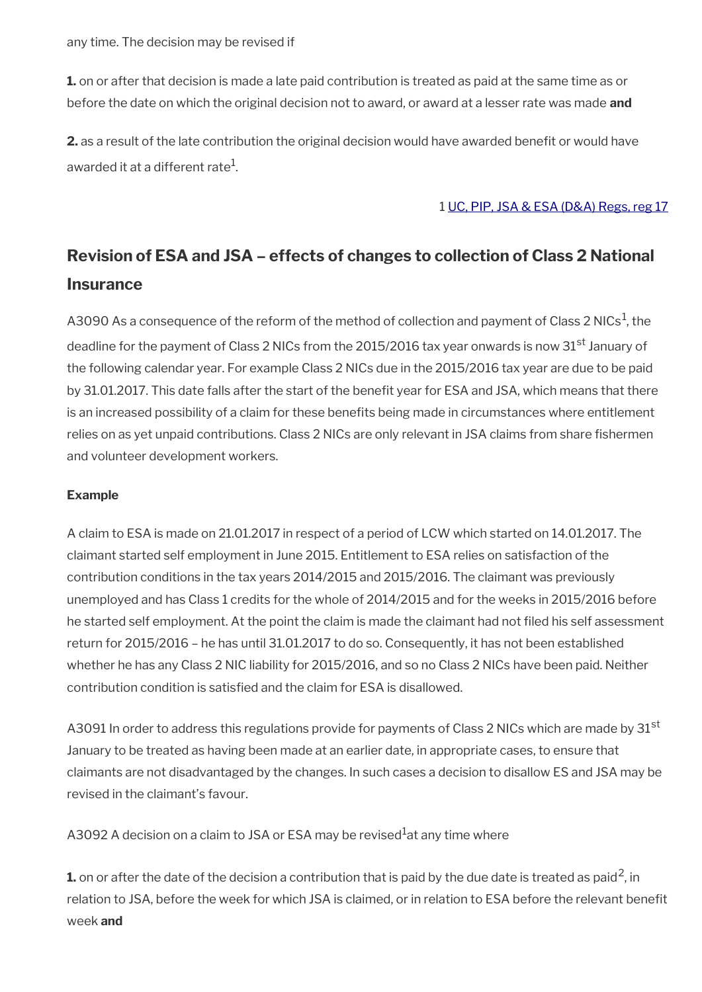**1.** on or after that decision is made a late paid contribution is treated as paid at the same time as or before the date on which the original decision not to award, or award at a lesser rate was made **and**

**2.** as a result of the late contribution the original decision would have awarded benefit or would have awarded it at a different rate $^{\rm 1}$ .

#### 1 [UC, PIP, JSA & ESA \(D&A\) Regs, reg 17](http://www.legislation.gov.uk/uksi/2013/381/regulation/17)

# <span id="page-26-0"></span>**Revision of ESA and JSA – effects of changes to collection of Class 2 National Insurance**

A3090 As a consequence of the reform of the method of collection and payment of Class 2 NICs<sup>1</sup>, the deadline for the payment of Class 2 NICs from the 2015/2016 tax year onwards is now 31<sup>st</sup> January of the following calendar year. For example Class 2 NICs due in the 2015/2016 tax year are due to be paid by 31.01.2017. This date falls after the start of the benefit year for ESA and JSA, which means that there is an increased possibility of a claim for these benefts being made in circumstances where entitlement relies on as yet unpaid contributions. Class 2 NICs are only relevant in JSA claims from share fishermen and volunteer development workers.

### **Example**

A claim to ESA is made on 21.01.2017 in respect of a period of LCW which started on 14.01.2017. The claimant started self employment in June 2015. Entitlement to ESA relies on satisfaction of the contribution conditions in the tax years 2014/2015 and 2015/2016. The claimant was previously unemployed and has Class 1 credits for the whole of 2014/2015 and for the weeks in 2015/2016 before he started self employment. At the point the claim is made the claimant had not fled his self assessment return for 2015/2016 – he has until 31.01.2017 to do so. Consequently, it has not been established whether he has any Class 2 NIC liability for 2015/2016, and so no Class 2 NICs have been paid. Neither contribution condition is satisfed and the claim for ESA is disallowed.

A3091 In order to address this regulations provide for payments of Class 2 NICs which are made by 31<sup>st</sup> January to be treated as having been made at an earlier date, in appropriate cases, to ensure that claimants are not disadvantaged by the changes. In such cases a decision to disallow ES and JSA may be revised in the claimant's favour.

A3092 A decision on a claim to JSA or ESA may be revised at any time where

**1.** on or after the date of the decision a contribution that is paid by the due date is treated as paid<sup>2</sup>, in relation to JSA, before the week for which JSA is claimed, or in relation to ESA before the relevant beneft week **and**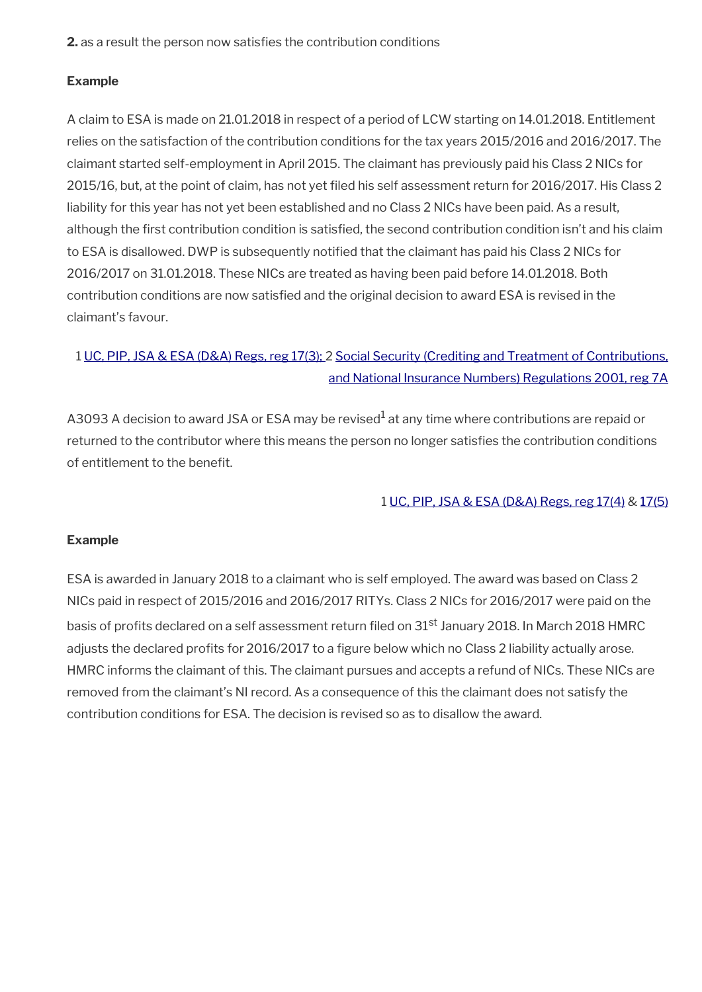**2.** as a result the person now satisfies the contribution conditions

### **Example**

A claim to ESA is made on 21.01.2018 in respect of a period of LCW starting on 14.01.2018. Entitlement relies on the satisfaction of the contribution conditions for the tax years 2015/2016 and 2016/2017. The claimant started self-employment in April 2015. The claimant has previously paid his Class 2 NICs for 2015/16, but, at the point of claim, has not yet fled his self assessment return for 2016/2017. His Class 2 liability for this year has not yet been established and no Class 2 NICs have been paid. As a result, although the first contribution condition is satisfied, the second contribution condition isn't and his claim to ESA is disallowed. DWP is subsequently notifed that the claimant has paid his Class 2 NICs for 2016/2017 on 31.01.2018. These NICs are treated as having been paid before 14.01.2018. Both contribution conditions are now satisfed and the original decision to award ESA is revised in the claimant's favour.

# 1 [UC, PIP, JSA & ESA \(D&A\) Regs, reg 17\(3\);](http://www.legislation.gov.uk/uksi/2013/381/regulation/17) 2 [Social Security \(Crediting and Treatment of Contributions,](http://www.legislation.gov.uk/uksi/2001/769/regulation/7A) [and National Insurance Numbers\) Regulations 2001, reg 7A](http://www.legislation.gov.uk/uksi/2001/769/regulation/7A)

A3093 A decision to award JSA or ESA may be revised $^1$  at any time where contributions are repaid or returned to the contributor where this means the person no longer satisfes the contribution conditions of entitlement to the benefit.

### 1 [UC, PIP, JSA & ESA \(D&A\) Regs, reg 17\(4\)](http://www.legislation.gov.uk/uksi/2013/381/regulation/17) & [17\(5\)](http://www.legislation.gov.uk/uksi/2013/381/regulation/17)

### **Example**

ESA is awarded in January 2018 to a claimant who is self employed. The award was based on Class 2 NICs paid in respect of 2015/2016 and 2016/2017 RITYs. Class 2 NICs for 2016/2017 were paid on the basis of profits declared on a self assessment return filed on 31<sup>st</sup> January 2018. In March 2018 HMRC adjusts the declared profits for 2016/2017 to a figure below which no Class 2 liability actually arose. HMRC informs the claimant of this. The claimant pursues and accepts a refund of NICs. These NICs are removed from the claimant's NI record. As a consequence of this the claimant does not satisfy the contribution conditions for ESA. The decision is revised so as to disallow the award.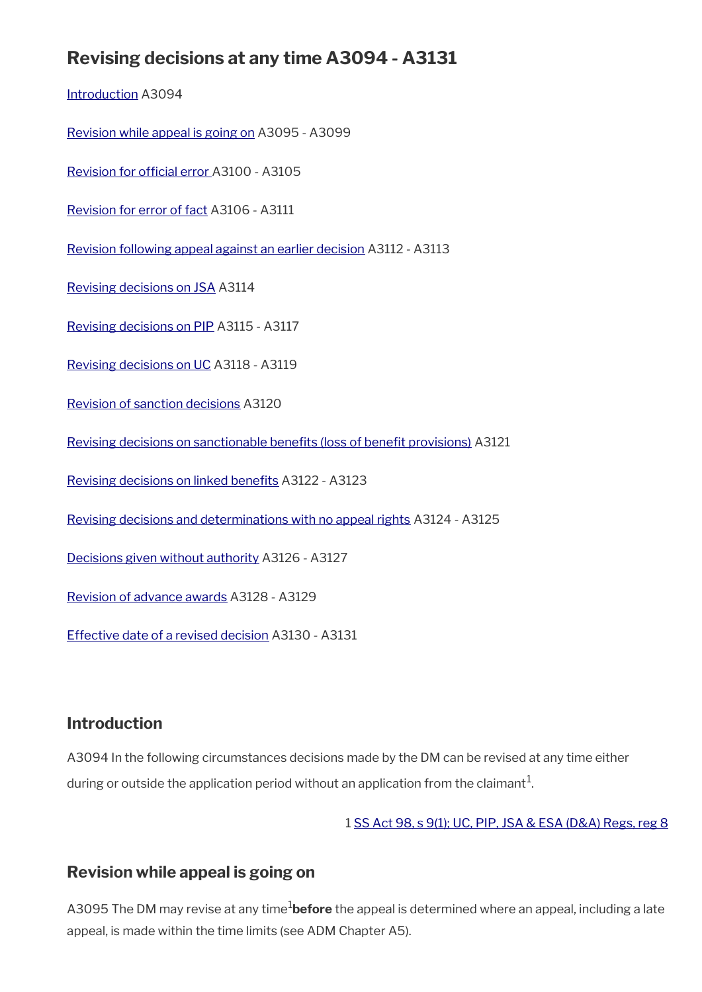# **Revising decisions at any time A3094 - A3131**

[Introduction](#page-14-1) A3094

[Revision while appeal is going on](#page-28-0) A3095 - A3099

Revision for official error A3100 - A3105

[Revision for error of fact](#page-32-0) A3106 - A3111

[Revision following appeal against an earlier decision](#page-34-1) A3112 - A3113

[Revising decisions on JSA](#page-34-0) A3114

[Revising decisions on PIP](#page-35-0) A3115 - A3117

[Revising decisions on UC](#page-36-1) A3118 - A3119

[Revision of sanction decisions](#page-36-0) A3120

Revising decisions on sanctionable benefits (loss of benefit provisions) A3121

Revising decisions on linked benefits A3122 - A3123

[Revising decisions and determinations with no appeal rights](#page-38-1) A3124 - A3125

[Decisions given without authority](#page-38-0) A3126 - A3127

[Revision of advance awards](#page-39-1) A3128 - A3129

[Effective date of a revised decision](#page-39-0) A3130 - A3131

## **Introduction**

A3094 In the following circumstances decisions made by the DM can be revised at any time either during or outside the application period without an application from the claimant $^1$ .

1 [SS Act 98, s 9\(1\);](http://www.legislation.gov.uk/ukpga/1998/14/contents) [UC, PIP, JSA & ESA \(D&A\) Regs, reg 8](http://www.legislation.gov.uk/uksi/2013/381/regulation/8)

# <span id="page-28-0"></span>**Revision while appeal is going on**

A3095 The DM may revise at any time<sup>1</sup>before the appeal is determined where an appeal, including a late appeal, is made within the time limits (see ADM Chapter A5).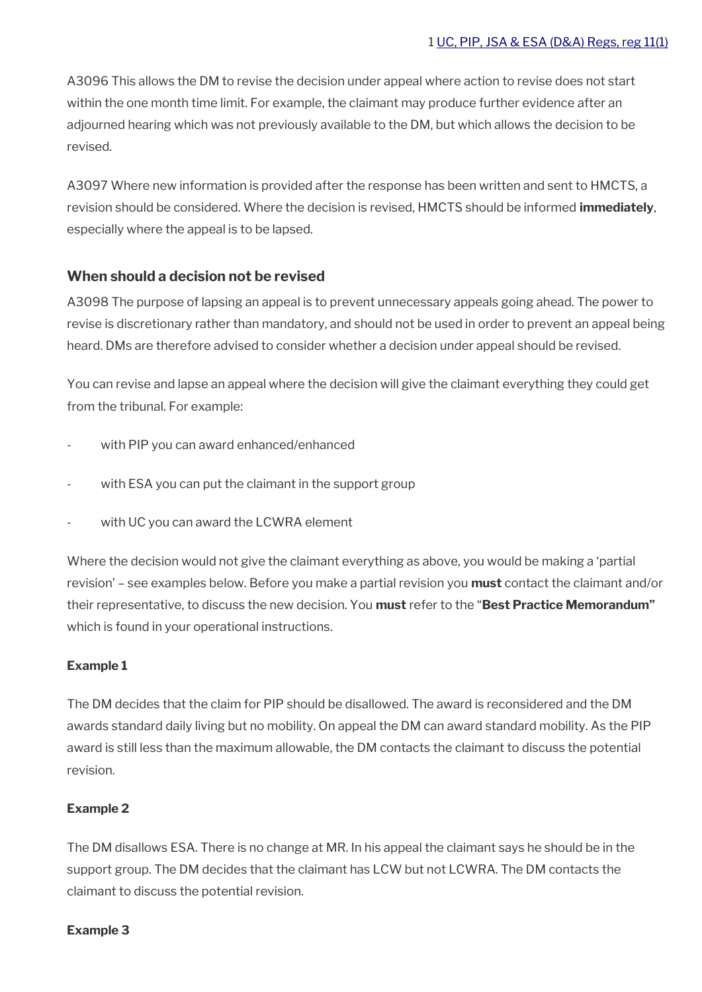A3096 This allows the DM to revise the decision under appeal where action to revise does not start within the one month time limit. For example, the claimant may produce further evidence after an adjourned hearing which was not previously available to the DM, but which allows the decision to be revised.

A3097 Where new information is provided after the response has been written and sent to HMCTS, a revision should be considered. Where the decision is revised, HMCTS should be informed **immediately**, especially where the appeal is to be lapsed.

### **When should a decision not be revised**

A3098 The purpose of lapsing an appeal is to prevent unnecessary appeals going ahead. The power to revise is discretionary rather than mandatory, and should not be used in order to prevent an appeal being heard. DMs are therefore advised to consider whether a decision under appeal should be revised.

You can revise and lapse an appeal where the decision will give the claimant everything they could get from the tribunal. For example:

- with PIP you can award enhanced/enhanced
- with ESA you can put the claimant in the support group
- with UC you can award the LCWRA element

Where the decision would not give the claimant everything as above, you would be making a 'partial revision' – see examples below. Before you make a partial revision you **must** contact the claimant and/or their representative, to discuss the new decision. You **must** refer to the "**Best Practice Memorandum"**  which is found in your operational instructions.

### **Example 1**

The DM decides that the claim for PIP should be disallowed. The award is reconsidered and the DM awards standard daily living but no mobility. On appeal the DM can award standard mobility. As the PIP award is still less than the maximum allowable, the DM contacts the claimant to discuss the potential revision.

#### **Example 2**

The DM disallows ESA. There is no change at MR. In his appeal the claimant says he should be in the support group. The DM decides that the claimant has LCW but not LCWRA. The DM contacts the claimant to discuss the potential revision.

#### **Example 3**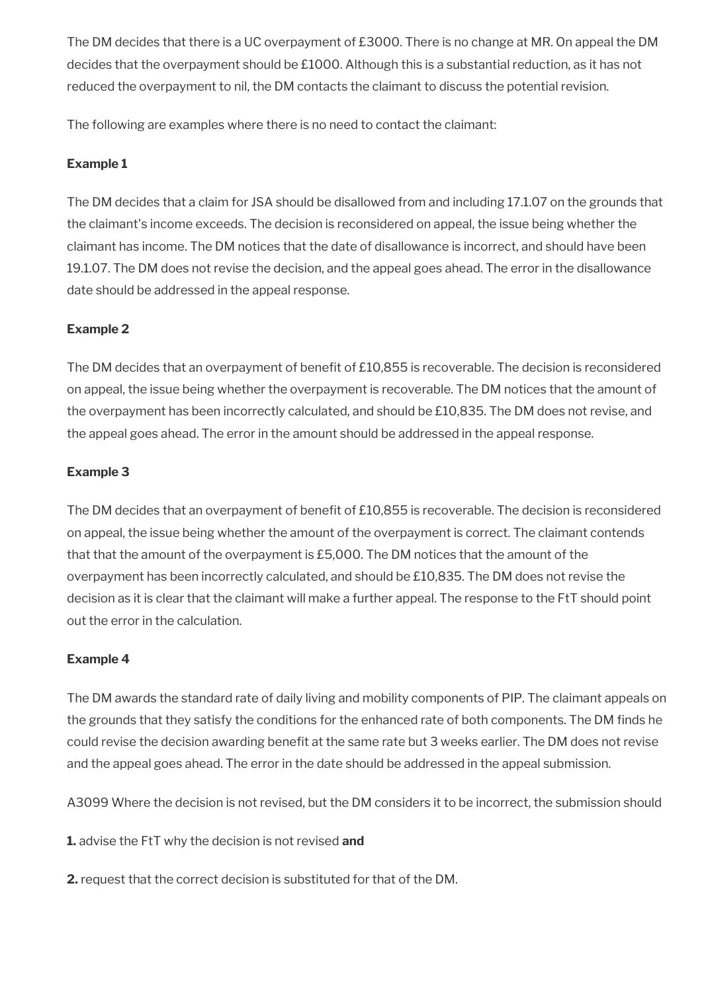The DM decides that there is a UC overpayment of £3000. There is no change at MR. On appeal the DM decides that the overpayment should be £1000. Although this is a substantial reduction, as it has not reduced the overpayment to nil, the DM contacts the claimant to discuss the potential revision.

The following are examples where there is no need to contact the claimant:

## **Example 1**

The DM decides that a claim for JSA should be disallowed from and including 17.1.07 on the grounds that the claimant's income exceeds. The decision is reconsidered on appeal, the issue being whether the claimant has income. The DM notices that the date of disallowance is incorrect, and should have been 19.1.07. The DM does not revise the decision, and the appeal goes ahead. The error in the disallowance date should be addressed in the appeal response.

### **Example 2**

The DM decides that an overpayment of benefit of £10,855 is recoverable. The decision is reconsidered on appeal, the issue being whether the overpayment is recoverable. The DM notices that the amount of the overpayment has been incorrectly calculated, and should be £10,835. The DM does not revise, and the appeal goes ahead. The error in the amount should be addressed in the appeal response.

### **Example 3**

The DM decides that an overpayment of benefit of £10,855 is recoverable. The decision is reconsidered on appeal, the issue being whether the amount of the overpayment is correct. The claimant contends that that the amount of the overpayment is £5,000. The DM notices that the amount of the overpayment has been incorrectly calculated, and should be £10,835. The DM does not revise the decision as it is clear that the claimant will make a further appeal. The response to the FtT should point out the error in the calculation.

### **Example 4**

The DM awards the standard rate of daily living and mobility components of PIP. The claimant appeals on the grounds that they satisfy the conditions for the enhanced rate of both components. The DM finds he could revise the decision awarding benefit at the same rate but 3 weeks earlier. The DM does not revise and the appeal goes ahead. The error in the date should be addressed in the appeal submission.

A3099 Where the decision is not revised, but the DM considers it to be incorrect, the submission should

**1.** advise the FtT why the decision is not revised **and**

**2.** request that the correct decision is substituted for that of the DM.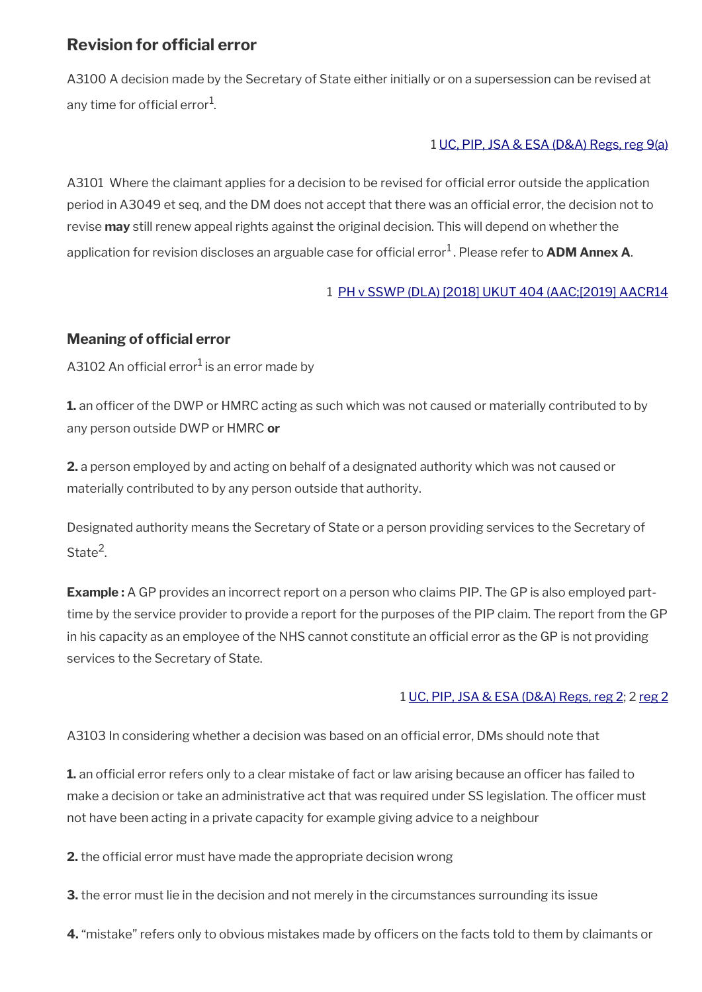# <span id="page-31-0"></span>**Revision for official error**

A3100 A decision made by the Secretary of State either initially or on a supersession can be revised at any time for official error $^{\rm 1}$ .

### 1 [UC, PIP, JSA & ESA \(D&A\) Regs, reg 9\(a\)](http://www.legislation.gov.uk/uksi/2013/381/regulation/9)

A3101 Where the claimant applies for a decision to be revised for official error outside the application period in A3049 et seq, and the DM does not accept that there was an official error, the decision not to revise **may** still renew appeal rights against the original decision. This will depend on whether the application for revision discloses an arguable case for official error<sup>1</sup>. Please refer to **ADM Annex A**.

### 1 [PH v SSWP \(DLA\) \[2018\] UKUT 404 \(AAC;\[2019\] AACR14](http://www.gov.uk/administrative-appeals-tribunal-decisions/ph-and-sm-v-secretary-of-state-for-work-and-pensions-dla-jsa-2018-ukut-404-aac)

# **Meaning of official error**

A3102 An official error $^1$  is an error made by

**1.** an officer of the DWP or HMRC acting as such which was not caused or materially contributed to by any person outside DWP or HMRC **or** 

**2.** a person employed by and acting on behalf of a designated authority which was not caused or materially contributed to by any person outside that authority.

Designated authority means the Secretary of State or a person providing services to the Secretary of State<sup>2</sup>.

**Example :** A GP provides an incorrect report on a person who claims PIP. The GP is also employed parttime by the service provider to provide a report for the purposes of the PIP claim. The report from the GP in his capacity as an employee of the NHS cannot constitute an official error as the GP is not providing services to the Secretary of State.

### 1 [UC, PIP, JSA & ESA \(D&A\) Regs, reg 2;](http://www.legislation.gov.uk/uksi/2013/381/regulation/2) 2 [reg 2](http://www.legislation.gov.uk/uksi/2013/381/regulation/2)

A3103 In considering whether a decision was based on an official error, DMs should note that

1. an official error refers only to a clear mistake of fact or law arising because an officer has failed to make a decision or take an administrative act that was required under SS legislation. The officer must not have been acting in a private capacity for example giving advice to a neighbour

**2.** the official error must have made the appropriate decision wrong

**3.** the error must lie in the decision and not merely in the circumstances surrounding its issue

**4.** "mistake" refers only to obvious mistakes made by officers on the facts told to them by claimants or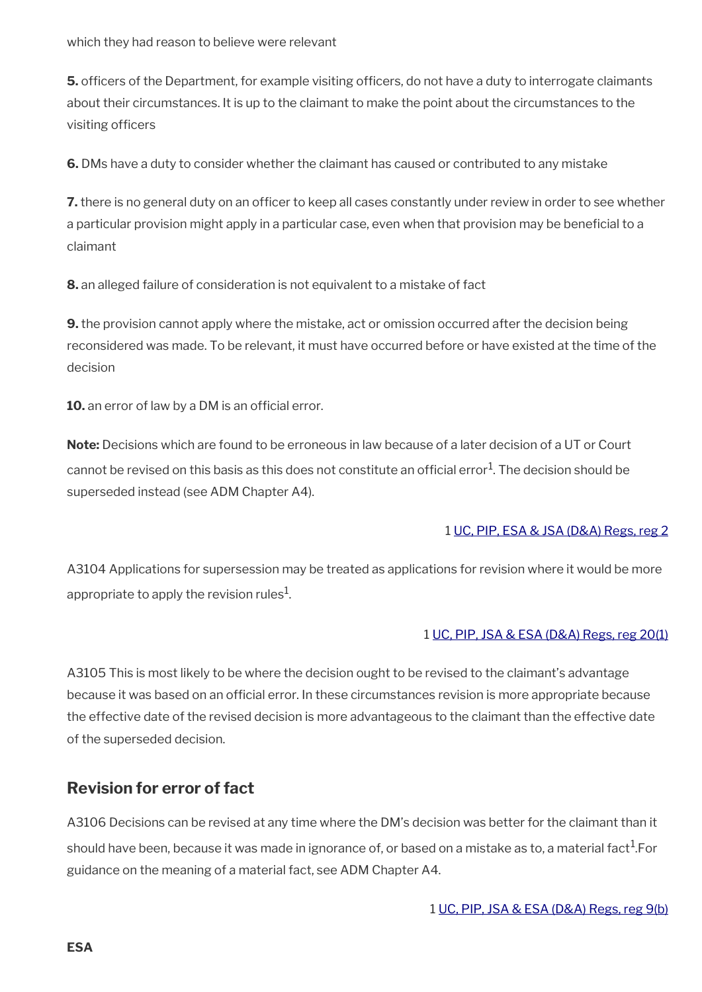**5.** officers of the Department, for example visiting officers, do not have a duty to interrogate claimants about their circumstances. It is up to the claimant to make the point about the circumstances to the visiting officers

**6.** DMs have a duty to consider whether the claimant has caused or contributed to any mistake

7. there is no general duty on an officer to keep all cases constantly under review in order to see whether a particular provision might apply in a particular case, even when that provision may be beneficial to a claimant

**8.** an alleged failure of consideration is not equivalent to a mistake of fact

**9.** the provision cannot apply where the mistake, act or omission occurred after the decision being reconsidered was made. To be relevant, it must have occurred before or have existed at the time of the decision

**10.** an error of law by a DM is an official error.

**Note:** Decisions which are found to be erroneous in law because of a later decision of a UT or Court cannot be revised on this basis as this does not constitute an official error $^1$ . The decision should be superseded instead (see ADM Chapter A4).

### 1 [UC, PIP, ESA & JSA \(D&A\) Regs, reg 2](http://www.legislation.gov.uk/uksi/2013/381/regulation/2)

A3104 Applications for supersession may be treated as applications for revision where it would be more appropriate to apply the revision rules $^1\!\!$ 

### 1 [UC, PIP, JSA & ESA \(D&A\) Regs, reg 20\(1\)](http://www.legislation.gov.uk/uksi/2013/381/regulation/20)

A3105 This is most likely to be where the decision ought to be revised to the claimant's advantage because it was based on an offcial error. In these circumstances revision is more appropriate because the effective date of the revised decision is more advantageous to the claimant than the effective date of the superseded decision.

# <span id="page-32-0"></span>**Revision for error of fact**

A3106 Decisions can be revised at any time where the DM's decision was better for the claimant than it should have been, because it was made in ignorance of, or based on a mistake as to, a material fact $^{\rm 1.}$ For guidance on the meaning of a material fact, see ADM Chapter A4.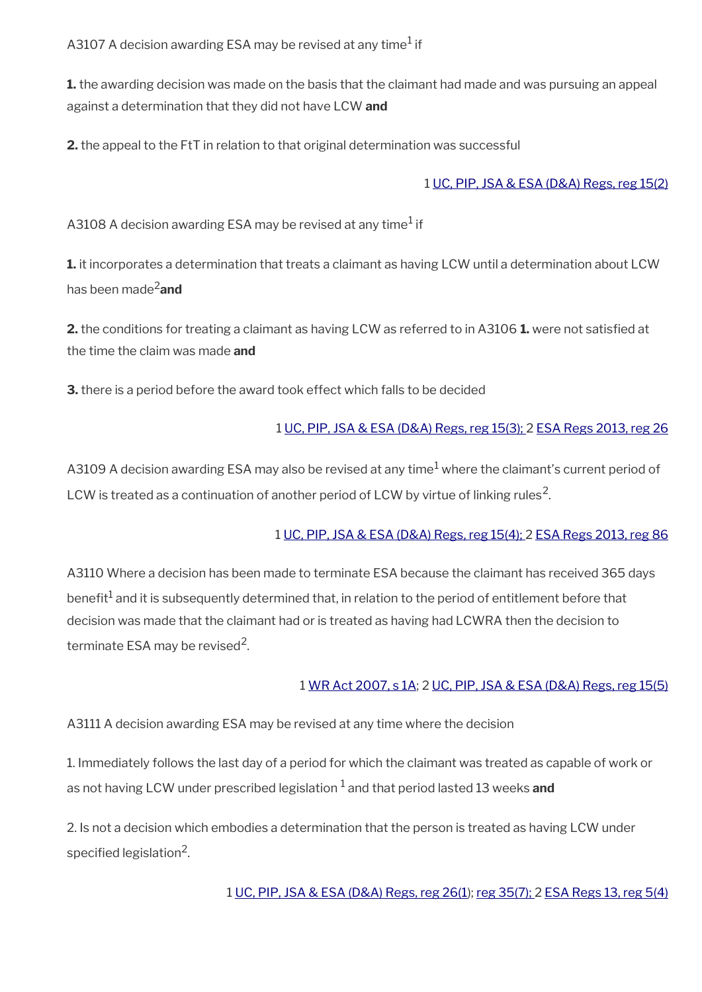A3107 A decision awarding ESA may be revised at any time $^{\rm 1}$  if

**1.** the awarding decision was made on the basis that the claimant had made and was pursuing an appeal against a determination that they did not have LCW **and**

**2.** the appeal to the FtT in relation to that original determination was successful

#### 1 [UC, PIP, JSA & ESA \(D&A\) Regs, reg 15\(2\)](http://www.legislation.gov.uk/uksi/2013/381/regulation/15)

A3108 A decision awarding ESA may be revised at any time $^1$  if

**1.** it incorporates a determination that treats a claimant as having LCW until a determination about LCW has been made2**and**

**2.** the conditions for treating a claimant as having LCW as referred to in A3106 **1.** were not satisfed at the time the claim was made **and**

**3.** there is a period before the award took effect which falls to be decided

#### 1 [UC, PIP, JSA & ESA \(D&A\) Regs, reg 15\(3\);](http://www.legislation.gov.uk/uksi/2013/381/regulation/15) 2 [ESA Regs 2013, reg 26](http://www.legislation.gov.uk/uksi/2013/379/regulation/26)

<code>A31O9</code> A decision awarding <code>ESA</code> may also be revised at any time $^{\rm 1}$  where the claimant's current period of LCW is treated as a continuation of another period of LCW by virtue of linking rules<sup>2</sup>.

#### 1 [UC, PIP, JSA & ESA \(D&A\) Regs, reg 15\(4\); 2](http://www.legislation.gov.uk/uksi/2013/381/regulation/15) [ESA Regs 2013, reg 86](http://www.legislation.gov.uk/uksi/2013/379/regulation/86)

A3110 Where a decision has been made to terminate ESA because the claimant has received 365 days benefit $^1$  and it is subsequently determined that, in relation to the period of entitlement before that decision was made that the claimant had or is treated as having had LCWRA then the decision to terminate ESA may be revised<sup>2</sup>.

#### 1 [WR Act 2007, s 1A](http://www.legislation.gov.uk/ukpga/2007/5/section/1A); 2 [UC, PIP, JSA & ESA \(D&A\) Regs, reg 15\(5\)](http://www.legislation.gov.uk/uksi/2013/381/regulation/15)

A3111 A decision awarding ESA may be revised at any time where the decision

1. Immediately follows the last day of a period for which the claimant was treated as capable of work or as not having LCW under prescribed legislation <sup>1</sup> and that period lasted 13 weeks **and** 

2. Is not a decision which embodies a determination that the person is treated as having LCW under specified legislation $^2$ .

### 1 [UC, PIP, JSA & ESA \(D&A\) Regs, reg 26\(1\)](http://www.legislation.gov.uk/uksi/2013/381/regulation/26); [reg 35\(7\);](http://www.legislation.gov.uk/uksi/2013/381/regulation/35) 2 [ESA Regs 13, reg 5\(4\)](http://editorial.legislation.gov.uk/uksi/2013/379/regulation/5)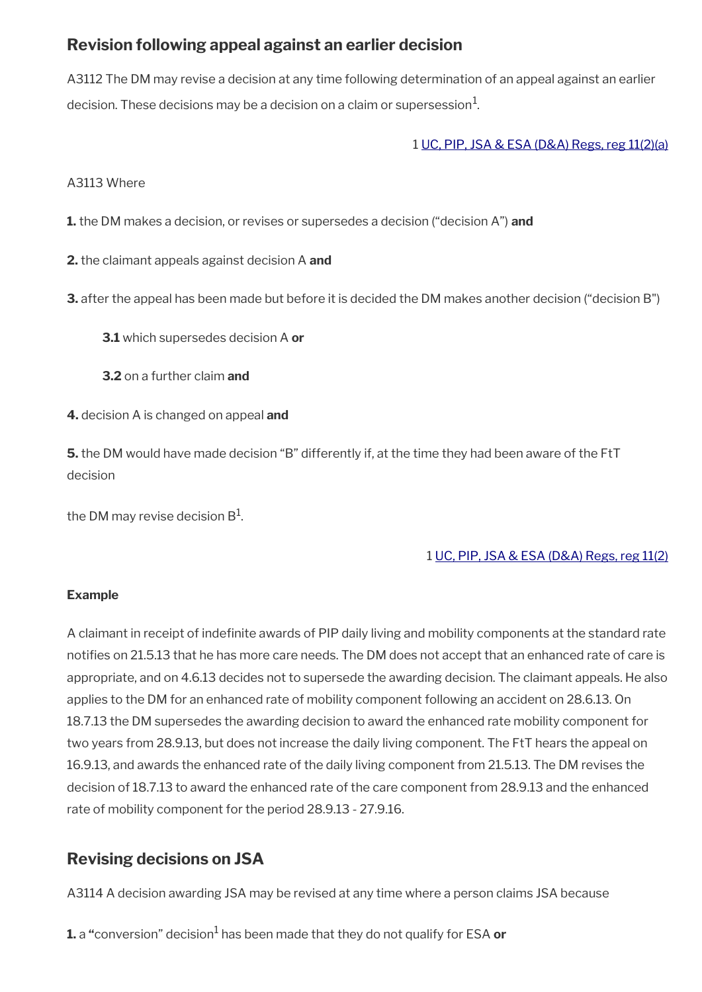# <span id="page-34-1"></span>**Revision following appeal against an earlier decision**

A3112 The DM may revise a decision at any time following determination of an appeal against an earlier decision. These decisions may be a decision on a claim or supersession $^1\!$ 

1 [UC, PIP, JSA & ESA \(D&A\) Regs, reg 11\(2\)\(a\)](http://www.legislation.gov.uk/uksi/2013/381/regulation/11)

A3113 Where

**1.** the DM makes a decision, or revises or supersedes a decision ("decision A") **and**

**2.** the claimant appeals against decision A **and**

**3.** after the appeal has been made but before it is decided the DM makes another decision ("decision B")

**3.1** which supersedes decision A **or**

**3.2** on a further claim **and**

**4.** decision A is changed on appeal **and**

**5.** the DM would have made decision "B" differently if, at the time they had been aware of the FtT decision

the DM may revise decision B $^{\rm 1}$ .

#### 1 [UC, PIP, JSA & ESA \(D&A\) Regs, reg 11\(2\)](http://www.legislation.gov.uk/uksi/2013/381/regulation/11)

#### **Example**

A claimant in receipt of indefnite awards of PIP daily living and mobility components at the standard rate notifes on 21.5.13 that he has more care needs. The DM does not accept that an enhanced rate of care is appropriate, and on 4.6.13 decides not to supersede the awarding decision. The claimant appeals. He also applies to the DM for an enhanced rate of mobility component following an accident on 28.6.13. On 18.7.13 the DM supersedes the awarding decision to award the enhanced rate mobility component for two years from 28.9.13, but does not increase the daily living component. The FtT hears the appeal on 16.9.13, and awards the enhanced rate of the daily living component from 21.5.13. The DM revises the decision of 18.7.13 to award the enhanced rate of the care component from 28.9.13 and the enhanced rate of mobility component for the period 28.9.13 - 27.9.16.

# <span id="page-34-0"></span>**Revising decisions on JSA**

A3114 A decision awarding JSA may be revised at any time where a person claims JSA because

**1.** a "conversion" decision<sup>1</sup> has been made that they do not qualify for ESA **or**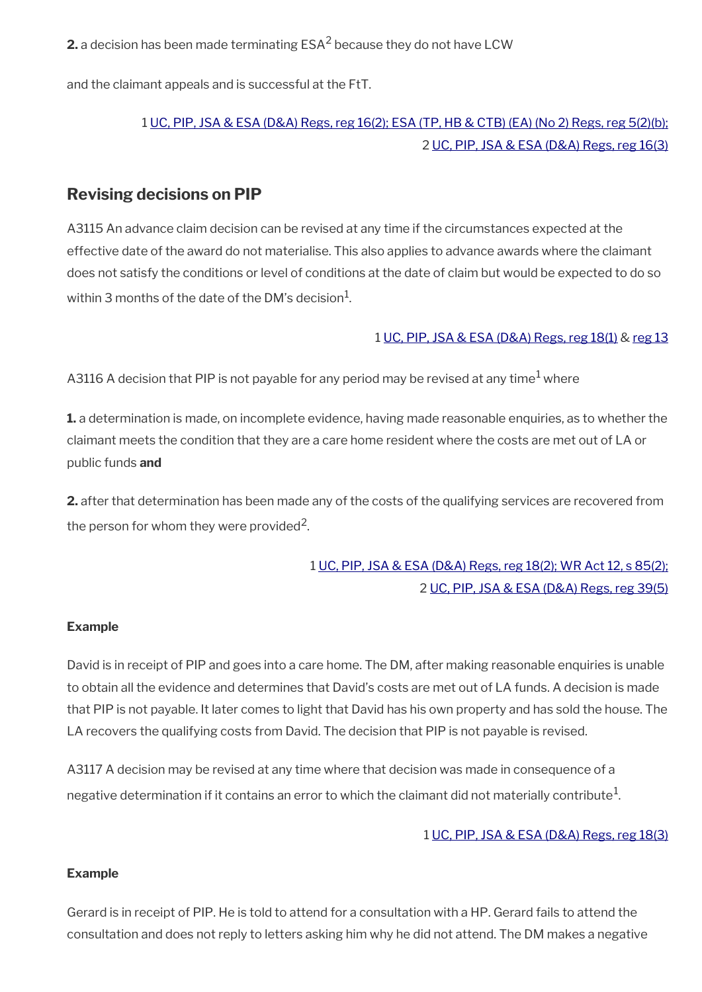**2.** a decision has been made terminating  $\mathsf{ESA}^2$  because they do not have  $\mathsf{LCW}$ 

and the claimant appeals and is successful at the FtT.

# 1 [UC, PIP, JSA & ESA \(D&A\) Regs, reg 16\(2\);](http://www.legislation.gov.uk/uksi/2013/381/regulation/16) [ESA \(TP, HB & CTB\) \(EA\) \(No 2\) Regs, reg 5\(2\)\(b\);](http://www.legislation.gov.uk/uksi/2010/1907/regulation/5) 2 [UC, PIP, JSA & ESA \(D&A\) Regs, reg 16\(3\)](http://www.legislation.gov.uk/uksi/2013/381/regulation/16)

## <span id="page-35-0"></span>**Revising decisions on PIP**

A3115 An advance claim decision can be revised at any time if the circumstances expected at the effective date of the award do not materialise. This also applies to advance awards where the claimant does not satisfy the conditions or level of conditions at the date of claim but would be expected to do so within 3 months of the date of the DM's decision $^1\!\!$ .

#### 1 [UC, PIP, JSA & ESA \(D&A\) Regs, reg 18\(1\)](http://www.legislation.gov.uk/uksi/2013/381/regulation/18) & [reg 13](http://www.legislation.gov.uk/uksi/2013/381/regulation/13)

A3116 A decision that PIP is not payable for any period may be revised at any time $^1$  where

**1.** a determination is made, on incomplete evidence, having made reasonable enquiries, as to whether the claimant meets the condition that they are a care home resident where the costs are met out of LA or public funds **and**

**2.** after that determination has been made any of the costs of the qualifying services are recovered from the person for whom they were provided<sup>2</sup>.

# 1 [UC, PIP, JSA & ESA \(D&A\) Regs, reg 18\(2\);](http://www.legislation.gov.uk/uksi/2013/381/regulation/18) [WR Act 12, s 85\(2\);](http://www.legislation.gov.uk/ukpga/2012/5/section/85) 2 [UC, PIP, JSA & ESA \(D&A\) Regs, reg 39\(5\)](http://www.legislation.gov.uk/uksi/2013/381/regulation/39)

#### **Example**

David is in receipt of PIP and goes into a care home. The DM, after making reasonable enquiries is unable to obtain all the evidence and determines that David's costs are met out of LA funds. A decision is made that PIP is not payable. It later comes to light that David has his own property and has sold the house. The LA recovers the qualifying costs from David. The decision that PIP is not payable is revised.

A3117 A decision may be revised at any time where that decision was made in consequence of a negative determination if it contains an error to which the claimant did not materially contribute $^1\!$ 

#### 1 [UC, PIP, JSA & ESA \(D&A\) Regs, reg 18\(3\)](http://www.legislation.gov.uk/uksi/2013/381/regulation/18)

#### **Example**

Gerard is in receipt of PIP. He is told to attend for a consultation with a HP. Gerard fails to attend the consultation and does not reply to letters asking him why he did not attend. The DM makes a negative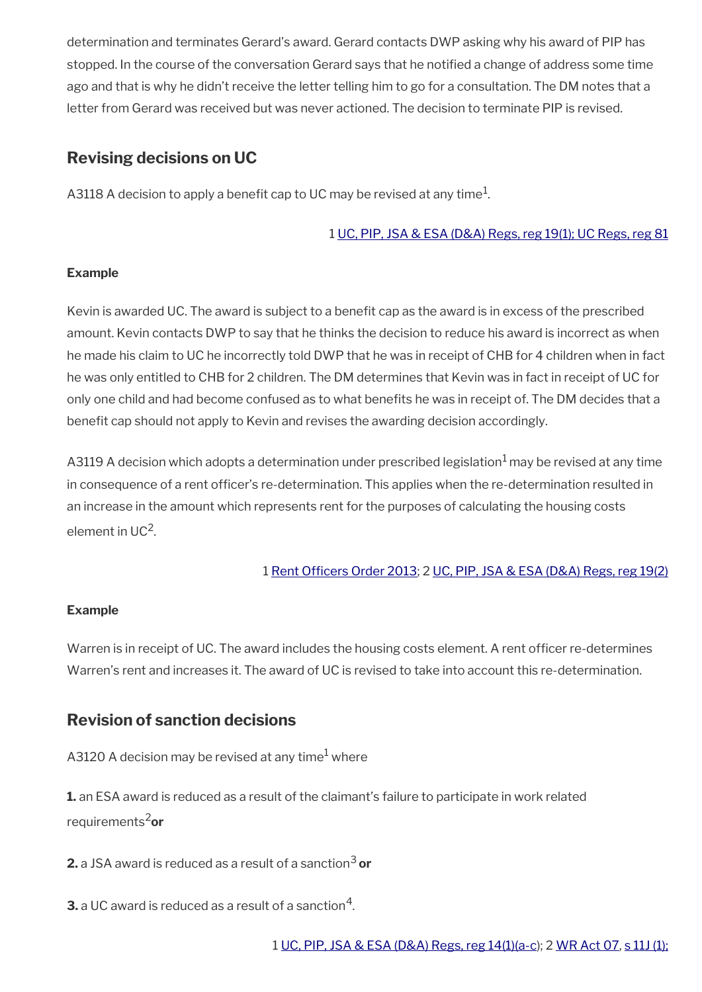determination and terminates Gerard's award. Gerard contacts DWP asking why his award of PIP has stopped. In the course of the conversation Gerard says that he notifed a change of address some time ago and that is why he didn't receive the letter telling him to go for a consultation. The DM notes that a letter from Gerard was received but was never actioned. The decision to terminate PIP is revised.

# <span id="page-36-1"></span>**Revising decisions on UC**

A3118 A decision to apply a benefit cap to UC may be revised at any time $^1\!$ 

### 1 [UC, PIP, JSA & ESA \(D&A\) Regs, reg 19\(1\);](http://www.legislation.gov.uk/uksi/2013/381/regulation/19) [UC Regs, reg 81](http://www.legislation.gov.uk/uksi/2013/376/regulation/81)

### **Example**

Kevin is awarded UC. The award is subject to a benefit cap as the award is in excess of the prescribed amount. Kevin contacts DWP to say that he thinks the decision to reduce his award is incorrect as when he made his claim to UC he incorrectly told DWP that he was in receipt of CHB for 4 children when in fact he was only entitled to CHB for 2 children. The DM determines that Kevin was in fact in receipt of UC for only one child and had become confused as to what benefts he was in receipt of. The DM decides that a benefit cap should not apply to Kevin and revises the awarding decision accordingly.

A3119 A decision which adopts a determination under prescribed legislation<sup>1</sup> may be revised at any time in consequence of a rent officer's re-determination. This applies when the re-determination resulted in an increase in the amount which represents rent for the purposes of calculating the housing costs element in UC<sup>2</sup>.

### 1 Rent Officers Order 2013; 2 [UC, PIP, JSA & ESA \(D&A\) Regs, reg 19\(2\)](http://www.legislation.gov.uk/uksi/2013/381/regulation/19)

### **Example**

Warren is in receipt of UC. The award includes the housing costs element. A rent officer re-determines Warren's rent and increases it. The award of UC is revised to take into account this re-determination.

# <span id="page-36-0"></span>**Revision of sanction decisions**

<code>A312O</code> A decision may be revised at any time $^{\rm 1}$  where

**1.** an ESA award is reduced as a result of the claimant's failure to participate in work related requirements2**or**

**2.** a JSA award is reduced as a result of a sanction<sup>3</sup> or

 ${\bf 3}.$  a UC award is reduced as a result of a sanction $^4.$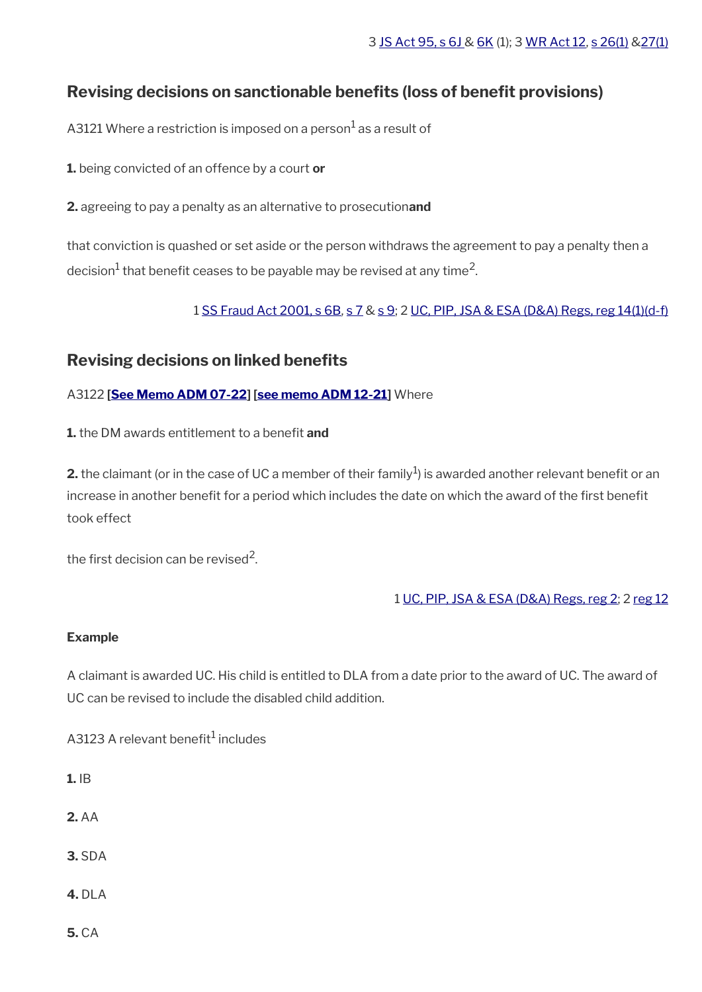# <span id="page-37-1"></span>**Revising decisions on sanctionable benefts (loss of beneft provisions)**

A3121 Where a restriction is imposed on a person $^{\rm 1}$  as a result of

**1.** being convicted of an offence by a court **or**

**2.** agreeing to pay a penalty as an alternative to prosecution**and**

that conviction is quashed or set aside or the person withdraws the agreement to pay a penalty then a decision $^1$  that benefit ceases to be payable may be revised at any time<sup>2</sup>.

### 1 [SS Fraud Act 2001, s 6B](http://www.legislation.gov.uk/ukpga/2001/11/section/6B), [s 7](http://www.legislation.gov.uk/ukpga/2001/11/section/7) & [s 9](http://www.legislation.gov.uk/ukpga/2001/11/section/9); 2 [UC, PIP, JSA & ESA \(D&A\) Regs, reg 14\(1\)\(d-f\)](http://www.legislation.gov.uk/uksi/2013/381/regulation/14)

## <span id="page-37-0"></span>**Revising decisions on linked benefts**

A3122 **[\[See Memo ADM 07-22\]](https://intranet.dwp.gov.uk/manual/advice-decision-making-adm/07-22-adult-disability-payment-uc-esa-ns-jsa-ns) [\[see memo ADM 12-21\]](https://intranet.dwp.gov.uk/manual/advice-decision-making-adm/12-21-disability-assistance-children-and-young-people-consequential-amendments-social-security)** Where

**1.** the DM awards entitlement to a benefit and

**2.** the claimant (or in the case of UC a member of their family $^1$ ) is awarded another relevant benefit or an increase in another benefit for a period which includes the date on which the award of the first benefit took effect

the first decision can be revised<sup>2</sup>.

1 [UC, PIP, JSA & ESA \(D&A\) Regs, reg 2](http://www.legislation.gov.uk/uksi/2013/381/regulation/2); 2 [reg 12](http://www.legislation.gov.uk/uksi/2013/381/regulation/12)

### **Example**

A claimant is awarded UC. His child is entitled to DLA from a date prior to the award of UC. The award of UC can be revised to include the disabled child addition.

A3123 A relevant benefit $^1$  includes

- **1.** IB
- **2.** AA
- **3.** SDA
- **4.** DLA
- **5.** CA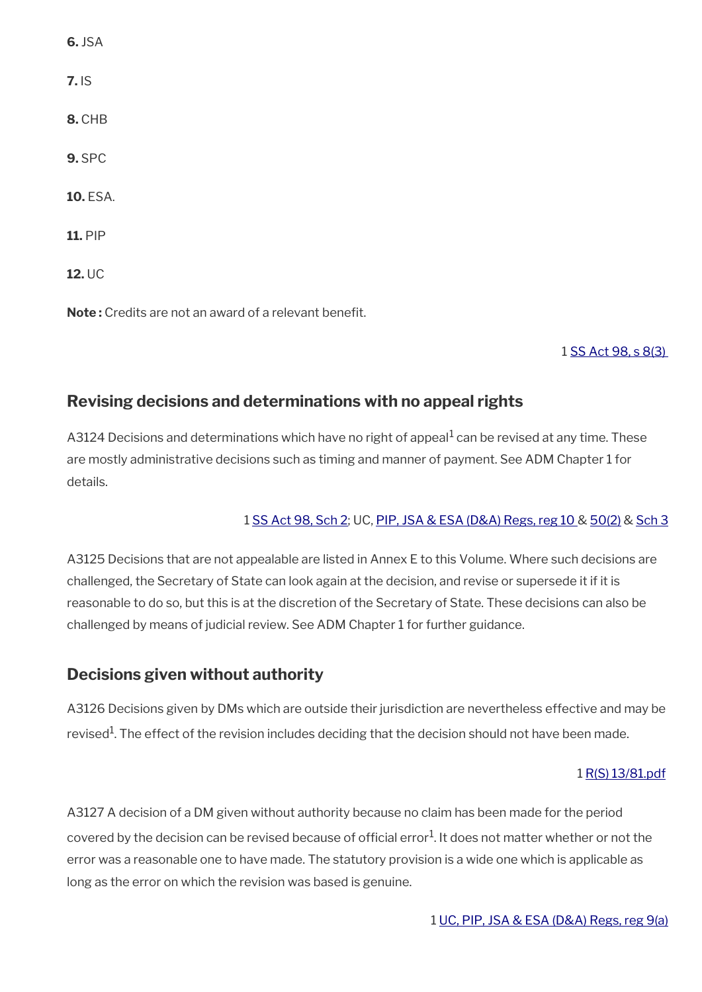| $6.$ JSA        |
|-----------------|
| 7.1S            |
| 8. CHB          |
| <b>9. SPC</b>   |
| <b>10. ESA.</b> |
| <b>11. PIP</b>  |
| $12.$ UC        |

**Note:** Credits are not an award of a relevant benefit.

### 1 [SS Act 98, s 8\(3\)](http://www.legislation.gov.uk/ukpga/1998/14/contents)

# <span id="page-38-1"></span>**Revising decisions and determinations with no appeal rights**

A3124 Decisions and determinations which have no right of appeal $^1$  can be revised at any time. These are mostly administrative decisions such as timing and manner of payment. See ADM Chapter 1 for details.

### 1 [SS Act 98, Sch 2](http://www.legislation.gov.uk/ukpga/1998/14/contents); UC, [PIP, JSA & ESA \(D&A\) Regs, reg 10](http://www.legislation.gov.uk/uksi/2013/381/regulation/10) & [50\(2\)](http://www.legislation.gov.uk/uksi/2013/381/regulation/50) & [Sch 3](http://www.legislation.gov.uk/uksi/2013/381/schedule/3)

A3125 Decisions that are not appealable are listed in Annex E to this Volume. Where such decisions are challenged, the Secretary of State can look again at the decision, and revise or supersede it if it is reasonable to do so, but this is at the discretion of the Secretary of State. These decisions can also be challenged by means of judicial review. See ADM Chapter 1 for further guidance.

# <span id="page-38-0"></span>**Decisions given without authority**

A3126 Decisions given by DMs which are outside their jurisdiction are nevertheless effective and may be revised $^{\rm 1}$ . The effect of the revision includes deciding that the decision should not have been made.

### 1 [R\(S\) 13/81.pdf](../file/869074/download/R%2528S%2529%252013%252F81.pdf)

A3127 A decision of a DM given without authority because no claim has been made for the period covered by the decision can be revised because of official error<sup>1</sup>. It does not matter whether or not the error was a reasonable one to have made. The statutory provision is a wide one which is applicable as long as the error on which the revision was based is genuine.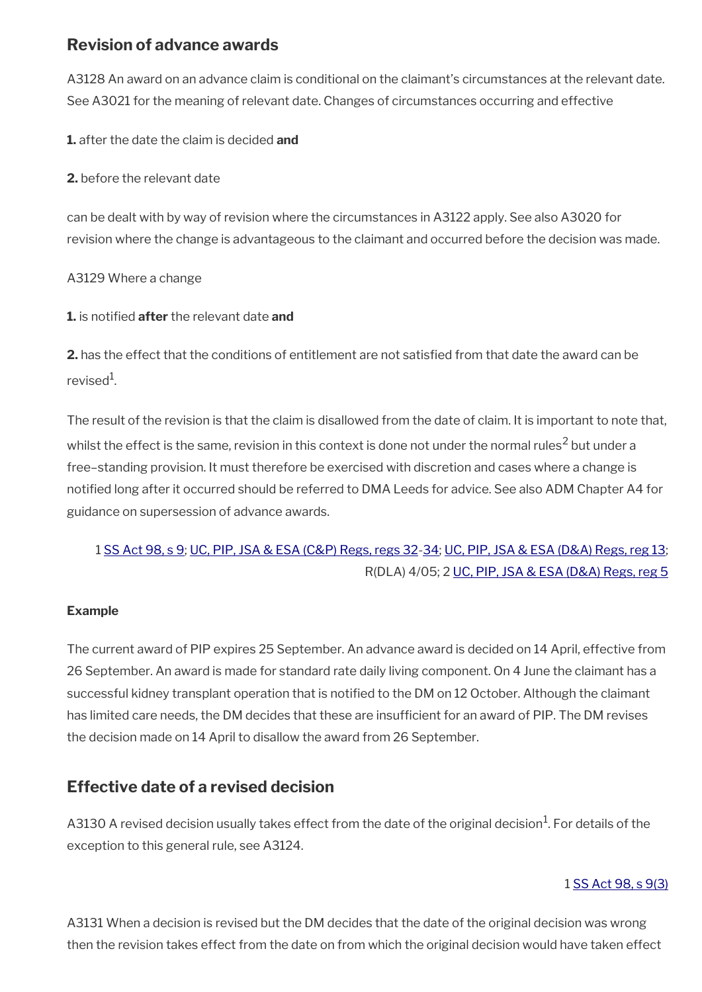# <span id="page-39-1"></span>**Revision of advance awards**

A3128 An award on an advance claim is conditional on the claimant's circumstances at the relevant date. See A3021 for the meaning of relevant date. Changes of circumstances occurring and effective

**1.** after the date the claim is decided **and**

**2.** before the relevant date

can be dealt with by way of revision where the circumstances in A3122 apply. See also A3020 for revision where the change is advantageous to the claimant and occurred before the decision was made.

A3129 Where a change

**1.** is notifed **after** the relevant date **and**

**2.** has the effect that the conditions of entitlement are not satisfed from that date the award can be revised<sup>1</sup>.

The result of the revision is that the claim is disallowed from the date of claim. It is important to note that, whilst the effect is the same, revision in this context is done not under the normal rules $^2$  but under a free–standing provision. It must therefore be exercised with discretion and cases where a change is notifed long after it occurred should be referred to DMA Leeds for advice. See also ADM Chapter A4 for guidance on supersession of advance awards.

# 1 [SS Act 98, s 9](http://www.legislation.gov.uk/ukpga/1998/14/contents); [UC, PIP, JSA & ESA \(C&P\) Regs, regs 32-](http://www.legislation.gov.uk/uksi/2013/380/regulation/32)[34](http://www.legislation.gov.uk/uksi/2013/380/regulation/34); [UC, PIP, JSA & ESA \(D&A\) Regs, reg 13;](http://www.legislation.gov.uk/uksi/2013/381/regulation/13) R(DLA) 4/05; 2 [UC, PIP, JSA & ESA \(D&A\) Regs, reg 5](http://www.legislation.gov.uk/uksi/2013/381/regulation/5)

### **Example**

The current award of PIP expires 25 September. An advance award is decided on 14 April, effective from 26 September. An award is made for standard rate daily living component. On 4 June the claimant has a successful kidney transplant operation that is notifed to the DM on 12 October. Although the claimant has limited care needs, the DM decides that these are insufficient for an award of PIP. The DM revises the decision made on 14 April to disallow the award from 26 September.

# <span id="page-39-0"></span>**Effective date of a revised decision**

A3130 A revised decision usually takes effect from the date of the original decision $^{\rm 1}$ . For details of the exception to this general rule, see A3124.

### 1 [SS Act 98, s 9\(3\)](http://www.legislation.gov.uk/ukpga/1998/14/contents)

A3131 When a decision is revised but the DM decides that the date of the original decision was wrong then the revision takes effect from the date on from which the original decision would have taken effect